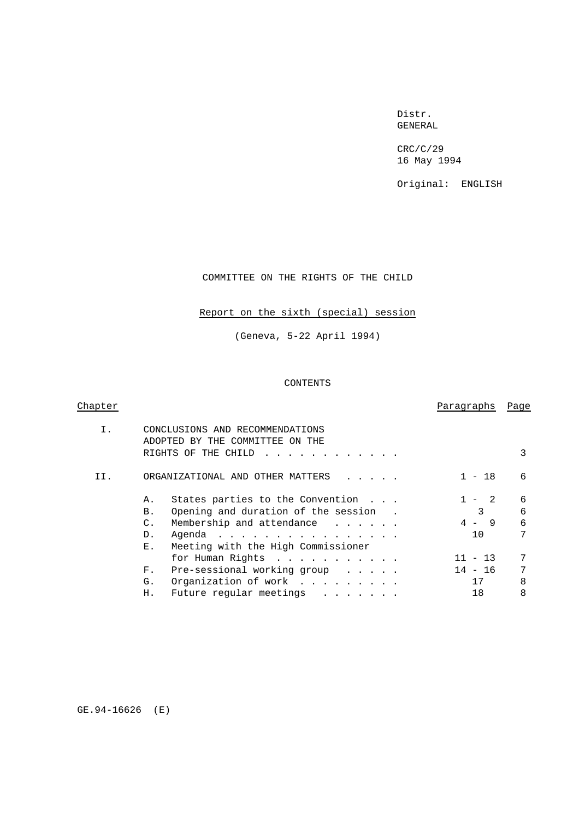### Distr. GENERAL

CRC/C/29 16 May 1994

Original: ENGLISH

COMMITTEE ON THE RIGHTS OF THE CHILD

### Report on the sixth (special) session

(Geneva, 5-22 April 1994)

### CONTENTS

| Chapter |                                                                    | Paragraphs     | Page |
|---------|--------------------------------------------------------------------|----------------|------|
| Ι.      | CONCLUSIONS AND RECOMMENDATIONS<br>ADOPTED BY THE COMMITTEE ON THE |                |      |
|         | RIGHTS OF THE CHILD                                                |                | 3    |
| TT.     | ORGANIZATIONAL AND OTHER MATTERS                                   | $1 - 18$       | 6    |
|         | States parties to the Convention<br>Α.                             | $\overline{2}$ | 6    |
|         | Opening and duration of the session.<br>В.                         | 3              | 6    |
|         | Membership and attendance<br>$\mathsf{C}$ .                        | $4 - 9$        | 6    |
|         | Agenda<br>D.                                                       | 10             | 7    |
|         | Meeting with the High Commissioner<br>$E_{\perp}$                  |                |      |
|         | for Human Rights                                                   | $11 - 13$      | 7    |
|         | Pre-sessional working group<br>$F_{\infty}$                        | 14 - 16        | 7    |
|         | Organization of work<br>G.                                         | 17             | 8    |
|         | Future regular meetings<br>Η.                                      | 18             | 8    |
|         |                                                                    |                |      |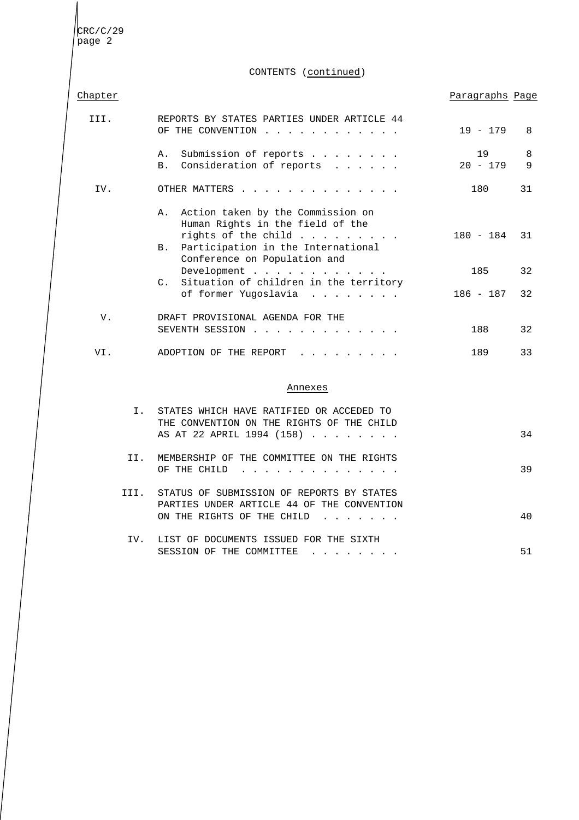CONTENTS (continued)

| Chapter |  |  |  |
|---------|--|--|--|
|         |  |  |  |

### <u>r</u> extending the contract of the contract of the contract of the contract of the contract of the contract of the contract of the contract of the contract of the contract of the contract of the contract of the contract of

| TTT. | REPORTS BY STATES PARTIES UNDER ARTICLE 44<br>OF THE CONVENTION                                                                                                                                      | 19 - 179         | 8      |
|------|------------------------------------------------------------------------------------------------------------------------------------------------------------------------------------------------------|------------------|--------|
|      | Submission of reports<br>Α.<br>Consideration of reports<br><b>B.</b>                                                                                                                                 | 19<br>$20 - 179$ | 8<br>9 |
| IV.  | OTHER MATTERS<br>$\frac{1}{2}$ . $\frac{1}{2}$ . $\frac{1}{2}$ . $\frac{1}{2}$ . $\frac{1}{2}$ . $\frac{1}{2}$ . $\frac{1}{2}$ . $\frac{1}{2}$ . $\frac{1}{2}$ . $\frac{1}{2}$                       | 180              | 31     |
|      | Action taken by the Commission on<br>$A_{-}$<br>Human Rights in the field of the<br>rights of the child $\ldots$<br>Participation in the International<br><b>B.</b>                                  | $180 - 184$      | 31     |
|      | Conference on Population and<br>Development<br>Situation of children in the territory<br>$\mathcal{C}$ .                                                                                             | 185              | 32     |
|      | of former Yugoslavia                                                                                                                                                                                 | 186 - 187        | 32     |
| V.   | DRAFT PROVISIONAL AGENDA FOR THE<br>SEVENTH SESSION<br>$\frac{1}{2}$ . $\frac{1}{2}$ . $\frac{1}{2}$ . $\frac{1}{2}$ . $\frac{1}{2}$ . $\frac{1}{2}$ . $\frac{1}{2}$ . $\frac{1}{2}$ . $\frac{1}{2}$ | 188              | 32     |
| VI.  | ADOPTION OF THE REPORT                                                                                                                                                                               | 189              | 33     |

### Annexes

|      | STATES WHICH HAVE RATIFIED OR ACCEDED TO<br>THE CONVENTION ON THE RIGHTS OF THE CHILD                                                 |    |
|------|---------------------------------------------------------------------------------------------------------------------------------------|----|
|      | AS AT 22 APRIL 1994 (158)                                                                                                             | 34 |
| TT.  | MEMBERSHIP OF THE COMMITTEE ON THE RIGHTS<br>OF THE CHILD<br>$\mathbf{r}$ , $\mathbf{r}$ , $\mathbf{r}$ , $\mathbf{r}$ , $\mathbf{r}$ | 39 |
| III. | STATUS OF SUBMISSION OF REPORTS BY STATES<br>PARTIES UNDER ARTICLE 44 OF THE CONVENTION                                               |    |
|      | ON THE RIGHTS OF THE CHILD                                                                                                            | 40 |
| TV.  | LIST OF DOCUMENTS ISSUED FOR THE SIXTH<br>SESSION OF THE COMMITTEE                                                                    | 51 |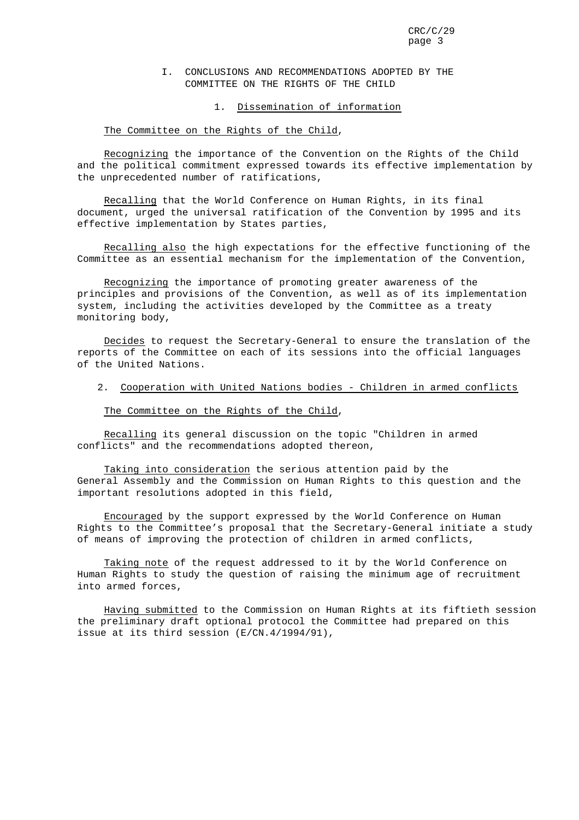### I. CONCLUSIONS AND RECOMMENDATIONS ADOPTED BY THE COMMITTEE ON THE RIGHTS OF THE CHILD

### 1. Dissemination of information

### The Committee on the Rights of the Child,

Recognizing the importance of the Convention on the Rights of the Child and the political commitment expressed towards its effective implementation by the unprecedented number of ratifications,

Recalling that the World Conference on Human Rights, in its final document, urged the universal ratification of the Convention by 1995 and its effective implementation by States parties,

Recalling also the high expectations for the effective functioning of the Committee as an essential mechanism for the implementation of the Convention,

Recognizing the importance of promoting greater awareness of the principles and provisions of the Convention, as well as of its implementation system, including the activities developed by the Committee as a treaty monitoring body,

Decides to request the Secretary-General to ensure the translation of the reports of the Committee on each of its sessions into the official languages of the United Nations.

### 2. Cooperation with United Nations bodies - Children in armed conflicts

### The Committee on the Rights of the Child,

Recalling its general discussion on the topic "Children in armed conflicts" and the recommendations adopted thereon,

Taking into consideration the serious attention paid by the General Assembly and the Commission on Human Rights to this question and the important resolutions adopted in this field,

Encouraged by the support expressed by the World Conference on Human Rights to the Committee's proposal that the Secretary-General initiate a study of means of improving the protection of children in armed conflicts,

Taking note of the request addressed to it by the World Conference on Human Rights to study the question of raising the minimum age of recruitment into armed forces,

Having submitted to the Commission on Human Rights at its fiftieth session the preliminary draft optional protocol the Committee had prepared on this issue at its third session (E/CN.4/1994/91),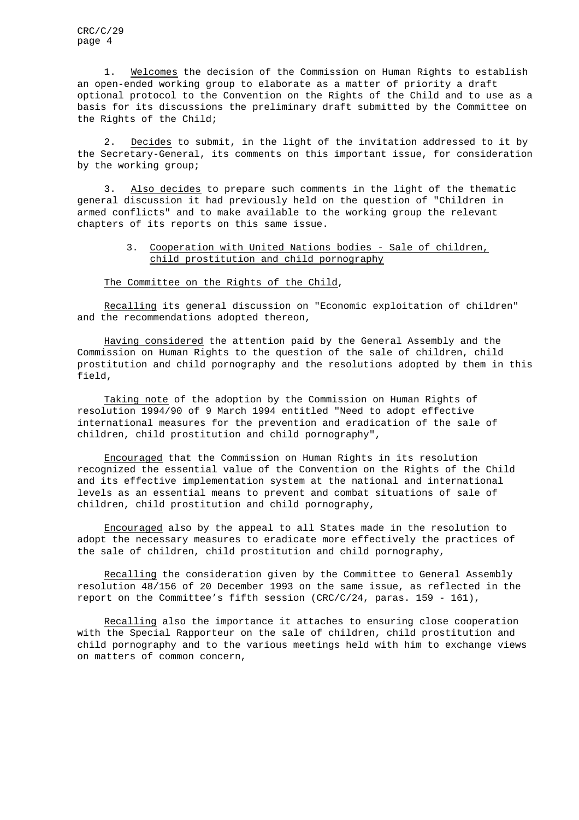1. Welcomes the decision of the Commission on Human Rights to establish an open-ended working group to elaborate as a matter of priority a draft optional protocol to the Convention on the Rights of the Child and to use as a basis for its discussions the preliminary draft submitted by the Committee on the Rights of the Child;

2. Decides to submit, in the light of the invitation addressed to it by the Secretary-General, its comments on this important issue, for consideration by the working group;

3. Also decides to prepare such comments in the light of the thematic general discussion it had previously held on the question of "Children in armed conflicts" and to make available to the working group the relevant chapters of its reports on this same issue.

### 3. Cooperation with United Nations bodies - Sale of children, child prostitution and child pornography

The Committee on the Rights of the Child,

Recalling its general discussion on "Economic exploitation of children" and the recommendations adopted thereon,

Having considered the attention paid by the General Assembly and the Commission on Human Rights to the question of the sale of children, child prostitution and child pornography and the resolutions adopted by them in this field,

Taking note of the adoption by the Commission on Human Rights of resolution 1994/90 of 9 March 1994 entitled "Need to adopt effective international measures for the prevention and eradication of the sale of children, child prostitution and child pornography",

Encouraged that the Commission on Human Rights in its resolution recognized the essential value of the Convention on the Rights of the Child and its effective implementation system at the national and international levels as an essential means to prevent and combat situations of sale of children, child prostitution and child pornography,

Encouraged also by the appeal to all States made in the resolution to adopt the necessary measures to eradicate more effectively the practices of the sale of children, child prostitution and child pornography,

Recalling the consideration given by the Committee to General Assembly resolution 48/156 of 20 December 1993 on the same issue, as reflected in the report on the Committee's fifth session (CRC/C/24, paras. 159 - 161),

Recalling also the importance it attaches to ensuring close cooperation with the Special Rapporteur on the sale of children, child prostitution and child pornography and to the various meetings held with him to exchange views on matters of common concern,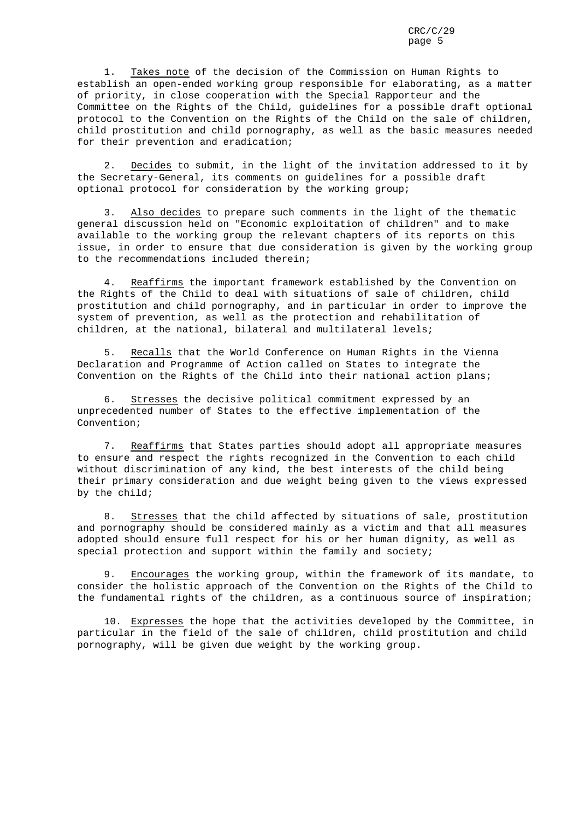1. Takes note of the decision of the Commission on Human Rights to establish an open-ended working group responsible for elaborating, as a matter of priority, in close cooperation with the Special Rapporteur and the Committee on the Rights of the Child, guidelines for a possible draft optional protocol to the Convention on the Rights of the Child on the sale of children, child prostitution and child pornography, as well as the basic measures needed for their prevention and eradication;

2. Decides to submit, in the light of the invitation addressed to it by the Secretary-General, its comments on guidelines for a possible draft optional protocol for consideration by the working group;

Also decides to prepare such comments in the light of the thematic general discussion held on "Economic exploitation of children" and to make available to the working group the relevant chapters of its reports on this issue, in order to ensure that due consideration is given by the working group to the recommendations included therein;

4. Reaffirms the important framework established by the Convention on the Rights of the Child to deal with situations of sale of children, child prostitution and child pornography, and in particular in order to improve the system of prevention, as well as the protection and rehabilitation of children, at the national, bilateral and multilateral levels;

5. Recalls that the World Conference on Human Rights in the Vienna Declaration and Programme of Action called on States to integrate the Convention on the Rights of the Child into their national action plans;

6. Stresses the decisive political commitment expressed by an unprecedented number of States to the effective implementation of the Convention;

7. Reaffirms that States parties should adopt all appropriate measures to ensure and respect the rights recognized in the Convention to each child without discrimination of any kind, the best interests of the child being their primary consideration and due weight being given to the views expressed by the child;

8. Stresses that the child affected by situations of sale, prostitution and pornography should be considered mainly as a victim and that all measures adopted should ensure full respect for his or her human dignity, as well as special protection and support within the family and society;

9. Encourages the working group, within the framework of its mandate, to consider the holistic approach of the Convention on the Rights of the Child to the fundamental rights of the children, as a continuous source of inspiration;

10. Expresses the hope that the activities developed by the Committee, in particular in the field of the sale of children, child prostitution and child pornography, will be given due weight by the working group.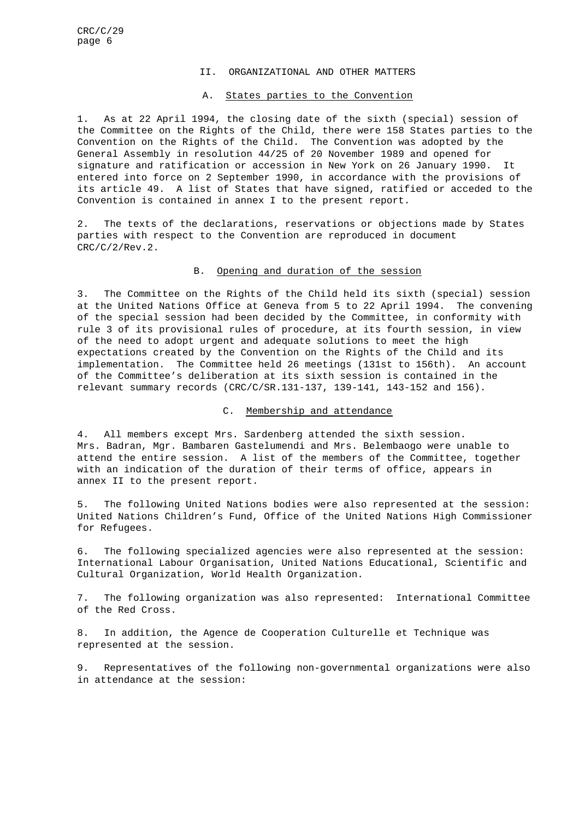### II. ORGANIZATIONAL AND OTHER MATTERS

### A. States parties to the Convention

1. As at 22 April 1994, the closing date of the sixth (special) session of the Committee on the Rights of the Child, there were 158 States parties to the Convention on the Rights of the Child. The Convention was adopted by the General Assembly in resolution 44/25 of 20 November 1989 and opened for signature and ratification or accession in New York on 26 January 1990. It entered into force on 2 September 1990, in accordance with the provisions of its article 49. A list of States that have signed, ratified or acceded to the Convention is contained in annex I to the present report.

2. The texts of the declarations, reservations or objections made by States parties with respect to the Convention are reproduced in document CRC/C/2/Rev.2.

### B. Opening and duration of the session

3. The Committee on the Rights of the Child held its sixth (special) session at the United Nations Office at Geneva from 5 to 22 April 1994. The convening of the special session had been decided by the Committee, in conformity with rule 3 of its provisional rules of procedure, at its fourth session, in view of the need to adopt urgent and adequate solutions to meet the high expectations created by the Convention on the Rights of the Child and its implementation. The Committee held 26 meetings (131st to 156th). An account of the Committee's deliberation at its sixth session is contained in the relevant summary records (CRC/C/SR.131-137, 139-141, 143-152 and 156).

### C. Membership and attendance

4. All members except Mrs. Sardenberg attended the sixth session. Mrs. Badran, Mgr. Bambaren Gastelumendi and Mrs. Belembaogo were unable to attend the entire session. A list of the members of the Committee, together with an indication of the duration of their terms of office, appears in annex II to the present report.

5. The following United Nations bodies were also represented at the session: United Nations Children's Fund, Office of the United Nations High Commissioner for Refugees.

6. The following specialized agencies were also represented at the session: International Labour Organisation, United Nations Educational, Scientific and Cultural Organization, World Health Organization.

7. The following organization was also represented: International Committee of the Red Cross.

8. In addition, the Agence de Cooperation Culturelle et Technique was represented at the session.

9. Representatives of the following non-governmental organizations were also in attendance at the session: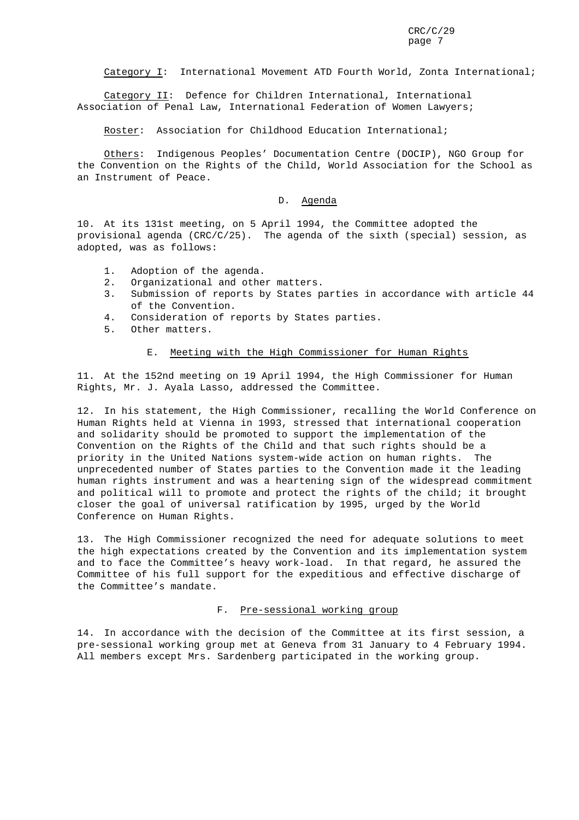Category I: International Movement ATD Fourth World, Zonta International;

Category II: Defence for Children International, International Association of Penal Law, International Federation of Women Lawyers;

Roster: Association for Childhood Education International;

Others: Indigenous Peoples' Documentation Centre (DOCIP), NGO Group for the Convention on the Rights of the Child, World Association for the School as an Instrument of Peace.

### D. Agenda

10. At its 131st meeting, on 5 April 1994, the Committee adopted the provisional agenda (CRC/C/25). The agenda of the sixth (special) session, as adopted, was as follows:

- 1. Adoption of the agenda.
- 2. Organizational and other matters.
- 3. Submission of reports by States parties in accordance with article 44 of the Convention.
- 4. Consideration of reports by States parties.
- 5. Other matters.

### E. Meeting with the High Commissioner for Human Rights

11. At the 152nd meeting on 19 April 1994, the High Commissioner for Human Rights, Mr. J. Ayala Lasso, addressed the Committee.

12. In his statement, the High Commissioner, recalling the World Conference on Human Rights held at Vienna in 1993, stressed that international cooperation and solidarity should be promoted to support the implementation of the Convention on the Rights of the Child and that such rights should be a priority in the United Nations system-wide action on human rights. The unprecedented number of States parties to the Convention made it the leading human rights instrument and was a heartening sign of the widespread commitment and political will to promote and protect the rights of the child; it brought closer the goal of universal ratification by 1995, urged by the World Conference on Human Rights.

13. The High Commissioner recognized the need for adequate solutions to meet the high expectations created by the Convention and its implementation system and to face the Committee's heavy work-load. In that regard, he assured the Committee of his full support for the expeditious and effective discharge of the Committee's mandate.

### F. Pre-sessional working group

14. In accordance with the decision of the Committee at its first session, a pre-sessional working group met at Geneva from 31 January to 4 February 1994. All members except Mrs. Sardenberg participated in the working group.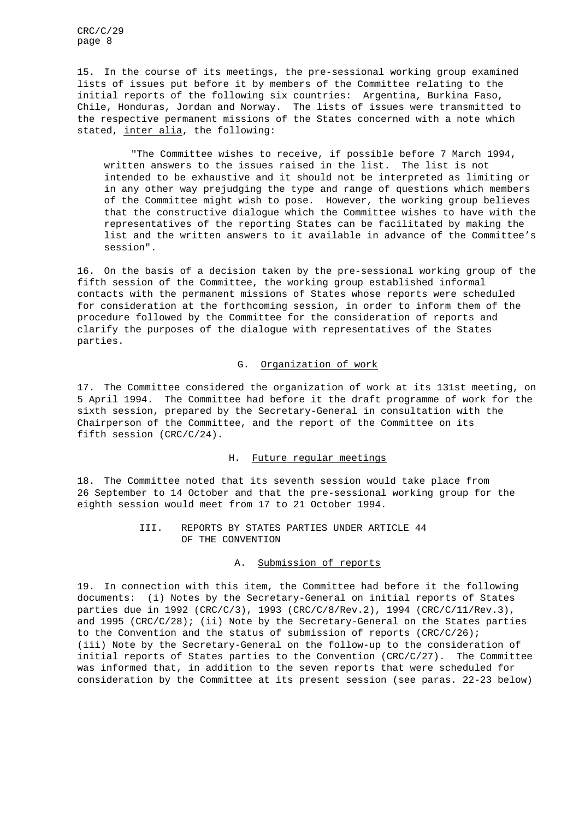15. In the course of its meetings, the pre-sessional working group examined lists of issues put before it by members of the Committee relating to the initial reports of the following six countries: Argentina, Burkina Faso, Chile, Honduras, Jordan and Norway. The lists of issues were transmitted to the respective permanent missions of the States concerned with a note which stated, inter alia, the following:

"The Committee wishes to receive, if possible before 7 March 1994, written answers to the issues raised in the list. The list is not intended to be exhaustive and it should not be interpreted as limiting or in any other way prejudging the type and range of questions which members of the Committee might wish to pose. However, the working group believes that the constructive dialogue which the Committee wishes to have with the representatives of the reporting States can be facilitated by making the list and the written answers to it available in advance of the Committee's session".

16. On the basis of a decision taken by the pre-sessional working group of the fifth session of the Committee, the working group established informal contacts with the permanent missions of States whose reports were scheduled for consideration at the forthcoming session, in order to inform them of the procedure followed by the Committee for the consideration of reports and clarify the purposes of the dialogue with representatives of the States parties.

### G. Organization of work

17. The Committee considered the organization of work at its 131st meeting, on 5 April 1994. The Committee had before it the draft programme of work for the sixth session, prepared by the Secretary-General in consultation with the Chairperson of the Committee, and the report of the Committee on its fifth session (CRC/C/24).

### H. Future regular meetings

18. The Committee noted that its seventh session would take place from 26 September to 14 October and that the pre-sessional working group for the eighth session would meet from 17 to 21 October 1994.

### III. REPORTS BY STATES PARTIES UNDER ARTICLE 44 OF THE CONVENTION

### A. Submission of reports

19. In connection with this item, the Committee had before it the following documents: (i) Notes by the Secretary-General on initial reports of States parties due in 1992 (CRC/C/3), 1993 (CRC/C/8/Rev.2), 1994 (CRC/C/11/Rev.3), and  $1995$  (CRC/C/28); (ii) Note by the Secretary-General on the States parties to the Convention and the status of submission of reports (CRC/C/26); (iii) Note by the Secretary-General on the follow-up to the consideration of initial reports of States parties to the Convention (CRC/C/27). The Committee was informed that, in addition to the seven reports that were scheduled for consideration by the Committee at its present session (see paras. 22-23 below)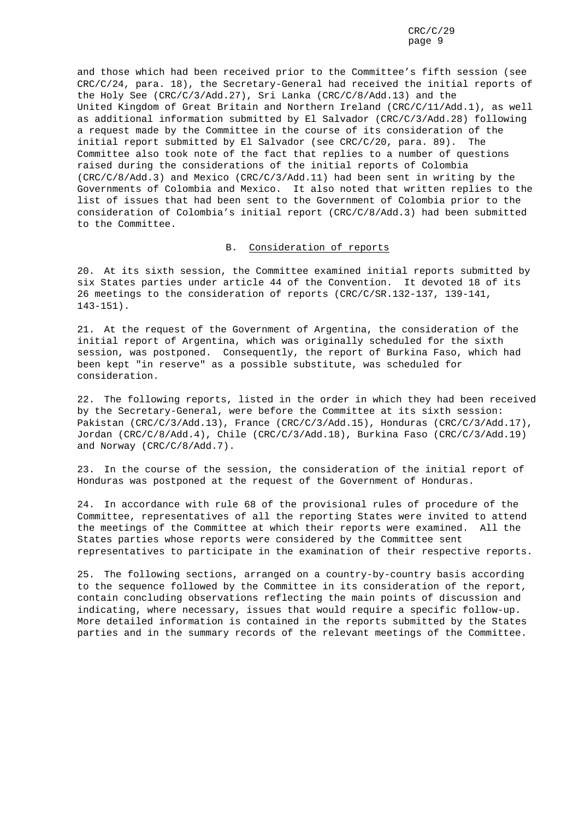and those which had been received prior to the Committee's fifth session (see CRC/C/24, para. 18), the Secretary-General had received the initial reports of the Holy See (CRC/C/3/Add.27), Sri Lanka (CRC/C/8/Add.13) and the United Kingdom of Great Britain and Northern Ireland (CRC/C/11/Add.1), as well as additional information submitted by El Salvador (CRC/C/3/Add.28) following a request made by the Committee in the course of its consideration of the initial report submitted by El Salvador (see CRC/C/20, para. 89). The Committee also took note of the fact that replies to a number of questions raised during the considerations of the initial reports of Colombia (CRC/C/8/Add.3) and Mexico (CRC/C/3/Add.11) had been sent in writing by the Governments of Colombia and Mexico. It also noted that written replies to the list of issues that had been sent to the Government of Colombia prior to the consideration of Colombia's initial report (CRC/C/8/Add.3) had been submitted to the Committee.

### B. Consideration of reports

20. At its sixth session, the Committee examined initial reports submitted by six States parties under article 44 of the Convention. It devoted 18 of its 26 meetings to the consideration of reports (CRC/C/SR.132-137, 139-141, 143-151).

21. At the request of the Government of Argentina, the consideration of the initial report of Argentina, which was originally scheduled for the sixth session, was postponed. Consequently, the report of Burkina Faso, which had been kept "in reserve" as a possible substitute, was scheduled for consideration.

22. The following reports, listed in the order in which they had been received by the Secretary-General, were before the Committee at its sixth session: Pakistan (CRC/C/3/Add.13), France (CRC/C/3/Add.15), Honduras (CRC/C/3/Add.17), Jordan (CRC/C/8/Add.4), Chile (CRC/C/3/Add.18), Burkina Faso (CRC/C/3/Add.19) and Norway (CRC/C/8/Add.7).

23. In the course of the session, the consideration of the initial report of Honduras was postponed at the request of the Government of Honduras.

24. In accordance with rule 68 of the provisional rules of procedure of the Committee, representatives of all the reporting States were invited to attend the meetings of the Committee at which their reports were examined. All the States parties whose reports were considered by the Committee sent representatives to participate in the examination of their respective reports.

25. The following sections, arranged on a country-by-country basis according to the sequence followed by the Committee in its consideration of the report, contain concluding observations reflecting the main points of discussion and indicating, where necessary, issues that would require a specific follow-up. More detailed information is contained in the reports submitted by the States parties and in the summary records of the relevant meetings of the Committee.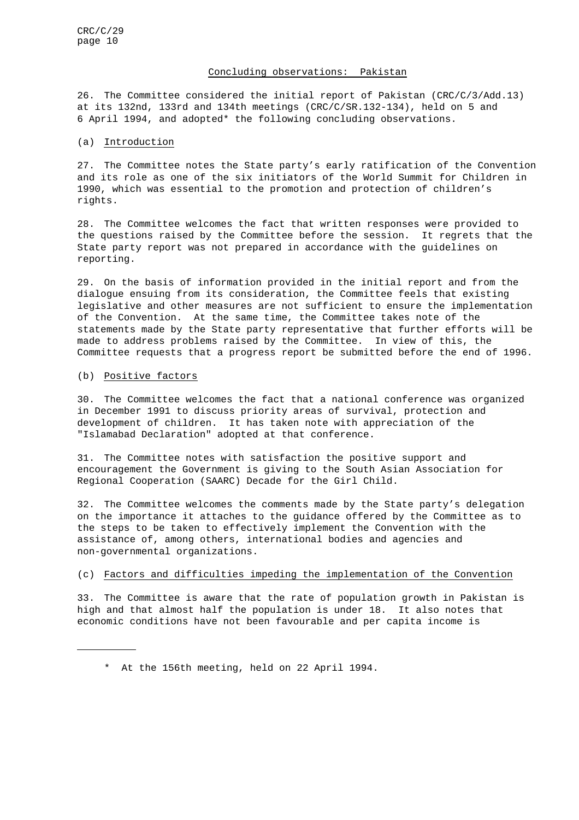### Concluding observations: Pakistan

26. The Committee considered the initial report of Pakistan (CRC/C/3/Add.13) at its 132nd, 133rd and 134th meetings (CRC/C/SR.132-134), held on 5 and 6 April 1994, and adopted\* the following concluding observations.

### (a) Introduction

27. The Committee notes the State party's early ratification of the Convention and its role as one of the six initiators of the World Summit for Children in 1990, which was essential to the promotion and protection of children's rights.

28. The Committee welcomes the fact that written responses were provided to the questions raised by the Committee before the session. It regrets that the State party report was not prepared in accordance with the guidelines on reporting.

29. On the basis of information provided in the initial report and from the dialogue ensuing from its consideration, the Committee feels that existing legislative and other measures are not sufficient to ensure the implementation of the Convention. At the same time, the Committee takes note of the statements made by the State party representative that further efforts will be made to address problems raised by the Committee. In view of this, the Committee requests that a progress report be submitted before the end of 1996.

### (b) Positive factors

30. The Committee welcomes the fact that a national conference was organized in December 1991 to discuss priority areas of survival, protection and development of children. It has taken note with appreciation of the "Islamabad Declaration" adopted at that conference.

31. The Committee notes with satisfaction the positive support and encouragement the Government is giving to the South Asian Association for Regional Cooperation (SAARC) Decade for the Girl Child.

32. The Committee welcomes the comments made by the State party's delegation on the importance it attaches to the guidance offered by the Committee as to the steps to be taken to effectively implement the Convention with the assistance of, among others, international bodies and agencies and non-governmental organizations.

### (c) Factors and difficulties impeding the implementation of the Convention

33. The Committee is aware that the rate of population growth in Pakistan is high and that almost half the population is under 18. It also notes that economic conditions have not been favourable and per capita income is

<sup>\*</sup> At the 156th meeting, held on 22 April 1994.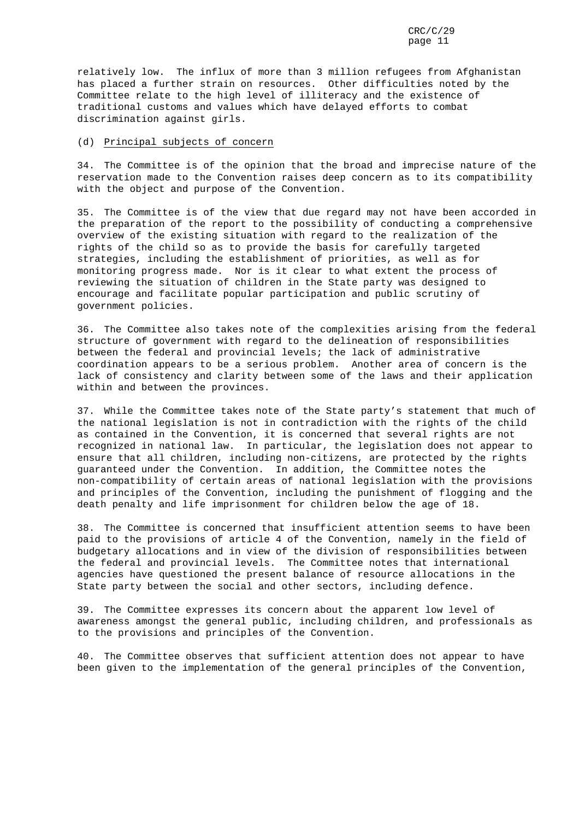relatively low. The influx of more than 3 million refugees from Afghanistan has placed a further strain on resources. Other difficulties noted by the Committee relate to the high level of illiteracy and the existence of traditional customs and values which have delayed efforts to combat discrimination against girls.

### (d) Principal subjects of concern

34. The Committee is of the opinion that the broad and imprecise nature of the reservation made to the Convention raises deep concern as to its compatibility with the object and purpose of the Convention.

35. The Committee is of the view that due regard may not have been accorded in the preparation of the report to the possibility of conducting a comprehensive overview of the existing situation with regard to the realization of the rights of the child so as to provide the basis for carefully targeted strategies, including the establishment of priorities, as well as for monitoring progress made. Nor is it clear to what extent the process of reviewing the situation of children in the State party was designed to encourage and facilitate popular participation and public scrutiny of government policies.

36. The Committee also takes note of the complexities arising from the federal structure of government with regard to the delineation of responsibilities between the federal and provincial levels; the lack of administrative coordination appears to be a serious problem. Another area of concern is the lack of consistency and clarity between some of the laws and their application within and between the provinces.

37. While the Committee takes note of the State party's statement that much of the national legislation is not in contradiction with the rights of the child as contained in the Convention, it is concerned that several rights are not recognized in national law. In particular, the legislation does not appear to ensure that all children, including non-citizens, are protected by the rights guaranteed under the Convention. In addition, the Committee notes the non-compatibility of certain areas of national legislation with the provisions and principles of the Convention, including the punishment of flogging and the death penalty and life imprisonment for children below the age of 18.

38. The Committee is concerned that insufficient attention seems to have been paid to the provisions of article 4 of the Convention, namely in the field of budgetary allocations and in view of the division of responsibilities between the federal and provincial levels. The Committee notes that international agencies have questioned the present balance of resource allocations in the State party between the social and other sectors, including defence.

39. The Committee expresses its concern about the apparent low level of awareness amongst the general public, including children, and professionals as to the provisions and principles of the Convention.

40. The Committee observes that sufficient attention does not appear to have been given to the implementation of the general principles of the Convention,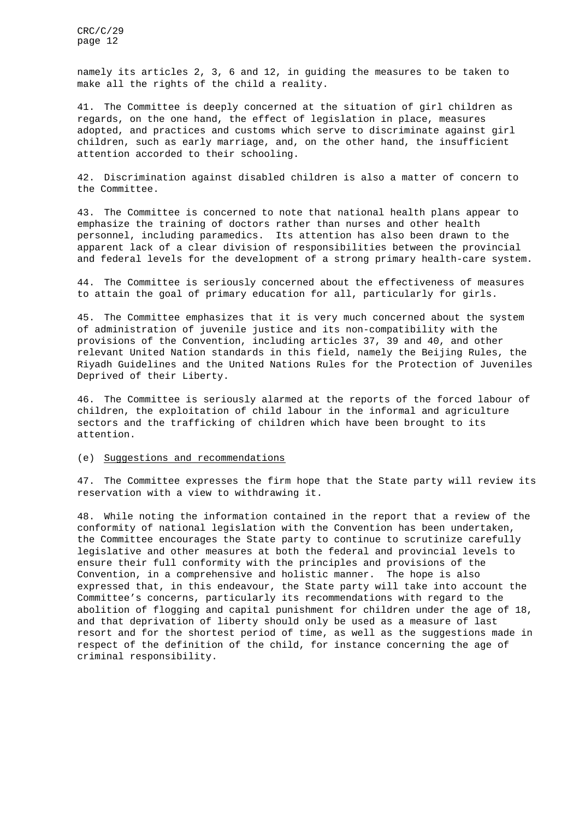namely its articles 2, 3, 6 and 12, in guiding the measures to be taken to make all the rights of the child a reality.

41. The Committee is deeply concerned at the situation of girl children as regards, on the one hand, the effect of legislation in place, measures adopted, and practices and customs which serve to discriminate against girl children, such as early marriage, and, on the other hand, the insufficient attention accorded to their schooling.

42. Discrimination against disabled children is also a matter of concern to the Committee.

43. The Committee is concerned to note that national health plans appear to emphasize the training of doctors rather than nurses and other health personnel, including paramedics. Its attention has also been drawn to the apparent lack of a clear division of responsibilities between the provincial and federal levels for the development of a strong primary health-care system.

44. The Committee is seriously concerned about the effectiveness of measures to attain the goal of primary education for all, particularly for girls.

45. The Committee emphasizes that it is very much concerned about the system of administration of juvenile justice and its non-compatibility with the provisions of the Convention, including articles 37, 39 and 40, and other relevant United Nation standards in this field, namely the Beijing Rules, the Riyadh Guidelines and the United Nations Rules for the Protection of Juveniles Deprived of their Liberty.

46. The Committee is seriously alarmed at the reports of the forced labour of children, the exploitation of child labour in the informal and agriculture sectors and the trafficking of children which have been brought to its attention.

### (e) Suggestions and recommendations

47. The Committee expresses the firm hope that the State party will review its reservation with a view to withdrawing it.

48. While noting the information contained in the report that a review of the conformity of national legislation with the Convention has been undertaken, the Committee encourages the State party to continue to scrutinize carefully legislative and other measures at both the federal and provincial levels to ensure their full conformity with the principles and provisions of the Convention, in a comprehensive and holistic manner. The hope is also expressed that, in this endeavour, the State party will take into account the Committee's concerns, particularly its recommendations with regard to the abolition of flogging and capital punishment for children under the age of 18, and that deprivation of liberty should only be used as a measure of last resort and for the shortest period of time, as well as the suggestions made in respect of the definition of the child, for instance concerning the age of criminal responsibility.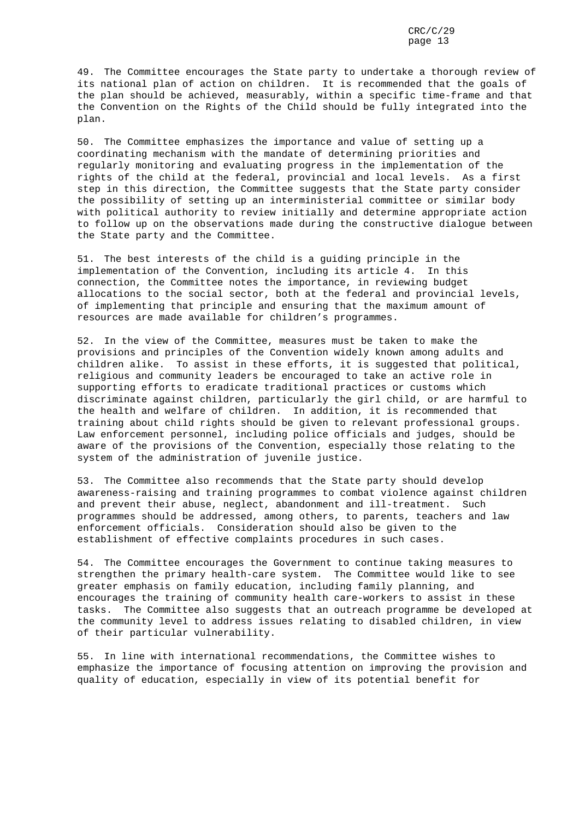49. The Committee encourages the State party to undertake a thorough review of its national plan of action on children. It is recommended that the goals of the plan should be achieved, measurably, within a specific time-frame and that the Convention on the Rights of the Child should be fully integrated into the plan.

50. The Committee emphasizes the importance and value of setting up a coordinating mechanism with the mandate of determining priorities and regularly monitoring and evaluating progress in the implementation of the rights of the child at the federal, provincial and local levels. As a first step in this direction, the Committee suggests that the State party consider the possibility of setting up an interministerial committee or similar body with political authority to review initially and determine appropriate action to follow up on the observations made during the constructive dialogue between the State party and the Committee.

51. The best interests of the child is a guiding principle in the implementation of the Convention, including its article 4. In this connection, the Committee notes the importance, in reviewing budget allocations to the social sector, both at the federal and provincial levels, of implementing that principle and ensuring that the maximum amount of resources are made available for children's programmes.

52. In the view of the Committee, measures must be taken to make the provisions and principles of the Convention widely known among adults and children alike. To assist in these efforts, it is suggested that political, religious and community leaders be encouraged to take an active role in supporting efforts to eradicate traditional practices or customs which discriminate against children, particularly the girl child, or are harmful to the health and welfare of children. In addition, it is recommended that training about child rights should be given to relevant professional groups. Law enforcement personnel, including police officials and judges, should be aware of the provisions of the Convention, especially those relating to the system of the administration of juvenile justice.

53. The Committee also recommends that the State party should develop awareness-raising and training programmes to combat violence against children and prevent their abuse, neglect, abandonment and ill-treatment. Such programmes should be addressed, among others, to parents, teachers and law enforcement officials. Consideration should also be given to the establishment of effective complaints procedures in such cases.

54. The Committee encourages the Government to continue taking measures to strengthen the primary health-care system. The Committee would like to see greater emphasis on family education, including family planning, and encourages the training of community health care-workers to assist in these tasks. The Committee also suggests that an outreach programme be developed at the community level to address issues relating to disabled children, in view of their particular vulnerability.

55. In line with international recommendations, the Committee wishes to emphasize the importance of focusing attention on improving the provision and quality of education, especially in view of its potential benefit for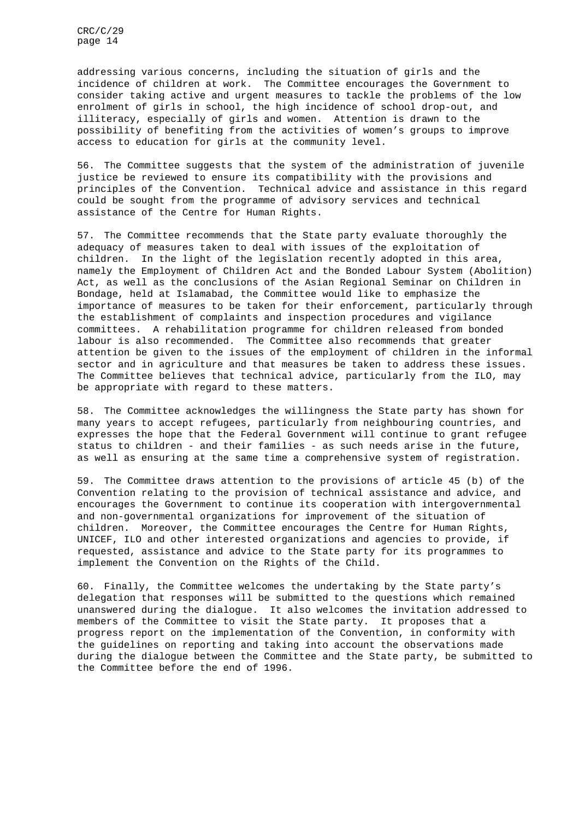addressing various concerns, including the situation of girls and the incidence of children at work. The Committee encourages the Government to consider taking active and urgent measures to tackle the problems of the low enrolment of girls in school, the high incidence of school drop-out, and illiteracy, especially of girls and women. Attention is drawn to the possibility of benefiting from the activities of women's groups to improve access to education for girls at the community level.

56. The Committee suggests that the system of the administration of juvenile justice be reviewed to ensure its compatibility with the provisions and principles of the Convention. Technical advice and assistance in this regard could be sought from the programme of advisory services and technical assistance of the Centre for Human Rights.

57. The Committee recommends that the State party evaluate thoroughly the adequacy of measures taken to deal with issues of the exploitation of children. In the light of the legislation recently adopted in this area, namely the Employment of Children Act and the Bonded Labour System (Abolition) Act, as well as the conclusions of the Asian Regional Seminar on Children in Bondage, held at Islamabad, the Committee would like to emphasize the importance of measures to be taken for their enforcement, particularly through the establishment of complaints and inspection procedures and vigilance committees. A rehabilitation programme for children released from bonded labour is also recommended. The Committee also recommends that greater attention be given to the issues of the employment of children in the informal sector and in agriculture and that measures be taken to address these issues. The Committee believes that technical advice, particularly from the ILO, may be appropriate with regard to these matters.

58. The Committee acknowledges the willingness the State party has shown for many years to accept refugees, particularly from neighbouring countries, and expresses the hope that the Federal Government will continue to grant refugee status to children - and their families - as such needs arise in the future, as well as ensuring at the same time a comprehensive system of registration.

59. The Committee draws attention to the provisions of article 45 (b) of the Convention relating to the provision of technical assistance and advice, and encourages the Government to continue its cooperation with intergovernmental and non-governmental organizations for improvement of the situation of children. Moreover, the Committee encourages the Centre for Human Rights, UNICEF, ILO and other interested organizations and agencies to provide, if requested, assistance and advice to the State party for its programmes to implement the Convention on the Rights of the Child.

60. Finally, the Committee welcomes the undertaking by the State party's delegation that responses will be submitted to the questions which remained unanswered during the dialogue. It also welcomes the invitation addressed to members of the Committee to visit the State party. It proposes that a progress report on the implementation of the Convention, in conformity with the guidelines on reporting and taking into account the observations made during the dialogue between the Committee and the State party, be submitted to the Committee before the end of 1996.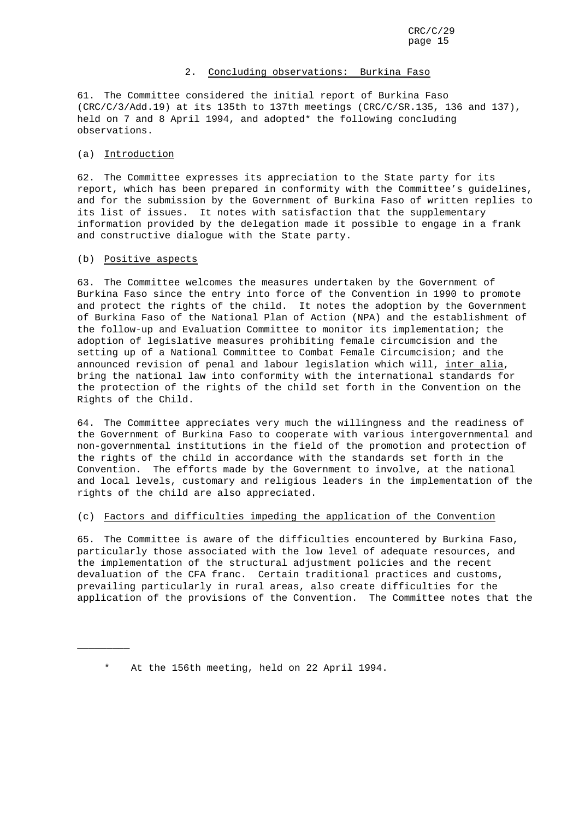### 2. Concluding observations: Burkina Faso

61. The Committee considered the initial report of Burkina Faso (CRC/C/3/Add.19) at its 135th to 137th meetings (CRC/C/SR.135, 136 and 137), held on 7 and 8 April 1994, and adopted\* the following concluding observations.

### (a) Introduction

62. The Committee expresses its appreciation to the State party for its report, which has been prepared in conformity with the Committee's guidelines, and for the submission by the Government of Burkina Faso of written replies to its list of issues. It notes with satisfaction that the supplementary information provided by the delegation made it possible to engage in a frank and constructive dialogue with the State party.

### (b) Positive aspects

\_\_\_\_\_\_\_\_\_

63. The Committee welcomes the measures undertaken by the Government of Burkina Faso since the entry into force of the Convention in 1990 to promote and protect the rights of the child. It notes the adoption by the Government of Burkina Faso of the National Plan of Action (NPA) and the establishment of the follow-up and Evaluation Committee to monitor its implementation; the adoption of legislative measures prohibiting female circumcision and the setting up of a National Committee to Combat Female Circumcision; and the announced revision of penal and labour legislation which will, inter alia, bring the national law into conformity with the international standards for the protection of the rights of the child set forth in the Convention on the Rights of the Child.

64. The Committee appreciates very much the willingness and the readiness of the Government of Burkina Faso to cooperate with various intergovernmental and non-governmental institutions in the field of the promotion and protection of the rights of the child in accordance with the standards set forth in the Convention. The efforts made by the Government to involve, at the national and local levels, customary and religious leaders in the implementation of the rights of the child are also appreciated.

### (c) Factors and difficulties impeding the application of the Convention

65. The Committee is aware of the difficulties encountered by Burkina Faso, particularly those associated with the low level of adequate resources, and the implementation of the structural adjustment policies and the recent devaluation of the CFA franc. Certain traditional practices and customs, prevailing particularly in rural areas, also create difficulties for the application of the provisions of the Convention. The Committee notes that the

At the 156th meeting, held on 22 April 1994.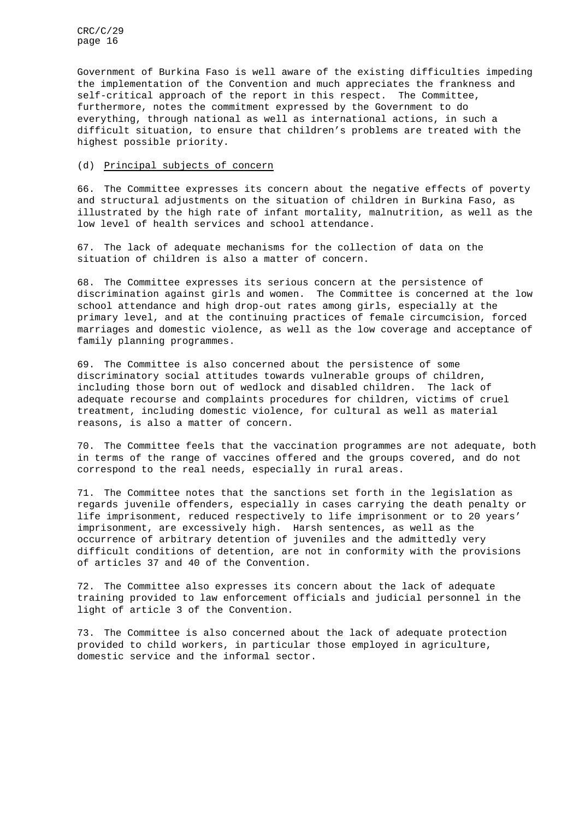Government of Burkina Faso is well aware of the existing difficulties impeding the implementation of the Convention and much appreciates the frankness and self-critical approach of the report in this respect. The Committee, furthermore, notes the commitment expressed by the Government to do everything, through national as well as international actions, in such a difficult situation, to ensure that children's problems are treated with the highest possible priority.

### (d) Principal subjects of concern

66. The Committee expresses its concern about the negative effects of poverty and structural adjustments on the situation of children in Burkina Faso, as illustrated by the high rate of infant mortality, malnutrition, as well as the low level of health services and school attendance.

67. The lack of adequate mechanisms for the collection of data on the situation of children is also a matter of concern.

68. The Committee expresses its serious concern at the persistence of discrimination against girls and women. The Committee is concerned at the low school attendance and high drop-out rates among girls, especially at the primary level, and at the continuing practices of female circumcision, forced marriages and domestic violence, as well as the low coverage and acceptance of family planning programmes.

69. The Committee is also concerned about the persistence of some discriminatory social attitudes towards vulnerable groups of children, including those born out of wedlock and disabled children. The lack of adequate recourse and complaints procedures for children, victims of cruel treatment, including domestic violence, for cultural as well as material reasons, is also a matter of concern.

70. The Committee feels that the vaccination programmes are not adequate, both in terms of the range of vaccines offered and the groups covered, and do not correspond to the real needs, especially in rural areas.

71. The Committee notes that the sanctions set forth in the legislation as regards juvenile offenders, especially in cases carrying the death penalty or life imprisonment, reduced respectively to life imprisonment or to 20 years' imprisonment, are excessively high. Harsh sentences, as well as the occurrence of arbitrary detention of juveniles and the admittedly very difficult conditions of detention, are not in conformity with the provisions of articles 37 and 40 of the Convention.

72. The Committee also expresses its concern about the lack of adequate training provided to law enforcement officials and judicial personnel in the light of article 3 of the Convention.

73. The Committee is also concerned about the lack of adequate protection provided to child workers, in particular those employed in agriculture, domestic service and the informal sector.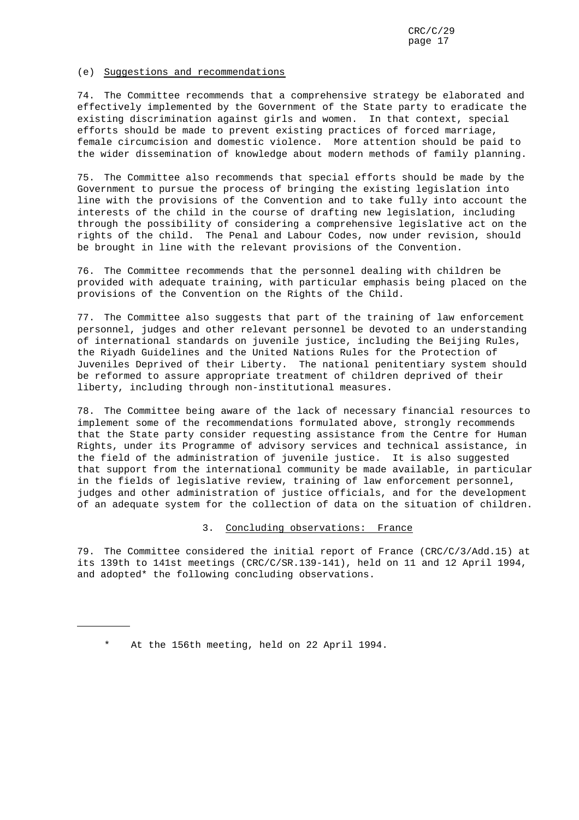### (e) Suggestions and recommendations

74. The Committee recommends that a comprehensive strategy be elaborated and effectively implemented by the Government of the State party to eradicate the existing discrimination against girls and women. In that context, special efforts should be made to prevent existing practices of forced marriage, female circumcision and domestic violence. More attention should be paid to the wider dissemination of knowledge about modern methods of family planning.

75. The Committee also recommends that special efforts should be made by the Government to pursue the process of bringing the existing legislation into line with the provisions of the Convention and to take fully into account the interests of the child in the course of drafting new legislation, including through the possibility of considering a comprehensive legislative act on the rights of the child. The Penal and Labour Codes, now under revision, should be brought in line with the relevant provisions of the Convention.

76. The Committee recommends that the personnel dealing with children be provided with adequate training, with particular emphasis being placed on the provisions of the Convention on the Rights of the Child.

77. The Committee also suggests that part of the training of law enforcement personnel, judges and other relevant personnel be devoted to an understanding of international standards on juvenile justice, including the Beijing Rules, the Riyadh Guidelines and the United Nations Rules for the Protection of Juveniles Deprived of their Liberty. The national penitentiary system should be reformed to assure appropriate treatment of children deprived of their liberty, including through non-institutional measures.

78. The Committee being aware of the lack of necessary financial resources to implement some of the recommendations formulated above, strongly recommends that the State party consider requesting assistance from the Centre for Human Rights, under its Programme of advisory services and technical assistance, in the field of the administration of juvenile justice. It is also suggested that support from the international community be made available, in particular in the fields of legislative review, training of law enforcement personnel, judges and other administration of justice officials, and for the development of an adequate system for the collection of data on the situation of children.

### 3. Concluding observations: France

79. The Committee considered the initial report of France (CRC/C/3/Add.15) at its 139th to 141st meetings (CRC/C/SR.139-141), held on 11 and 12 April 1994, and adopted\* the following concluding observations.

<sup>\*</sup> At the 156th meeting, held on 22 April 1994.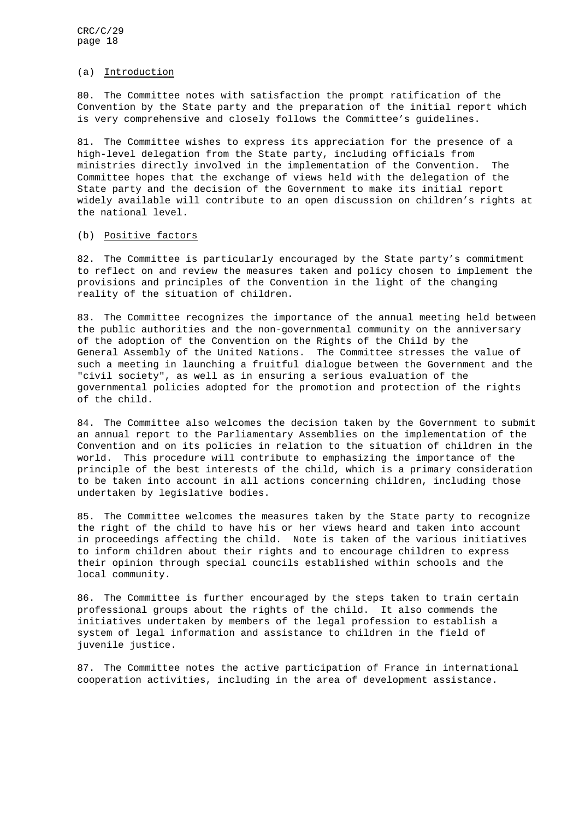### (a) Introduction

80. The Committee notes with satisfaction the prompt ratification of the Convention by the State party and the preparation of the initial report which is very comprehensive and closely follows the Committee's guidelines.

81. The Committee wishes to express its appreciation for the presence of a high-level delegation from the State party, including officials from ministries directly involved in the implementation of the Convention. The Committee hopes that the exchange of views held with the delegation of the State party and the decision of the Government to make its initial report widely available will contribute to an open discussion on children's rights at the national level.

### (b) Positive factors

82. The Committee is particularly encouraged by the State party's commitment to reflect on and review the measures taken and policy chosen to implement the provisions and principles of the Convention in the light of the changing reality of the situation of children.

83. The Committee recognizes the importance of the annual meeting held between the public authorities and the non-governmental community on the anniversary of the adoption of the Convention on the Rights of the Child by the General Assembly of the United Nations. The Committee stresses the value of such a meeting in launching a fruitful dialogue between the Government and the "civil society", as well as in ensuring a serious evaluation of the governmental policies adopted for the promotion and protection of the rights of the child.

84. The Committee also welcomes the decision taken by the Government to submit an annual report to the Parliamentary Assemblies on the implementation of the Convention and on its policies in relation to the situation of children in the world. This procedure will contribute to emphasizing the importance of the principle of the best interests of the child, which is a primary consideration to be taken into account in all actions concerning children, including those undertaken by legislative bodies.

85. The Committee welcomes the measures taken by the State party to recognize the right of the child to have his or her views heard and taken into account in proceedings affecting the child. Note is taken of the various initiatives to inform children about their rights and to encourage children to express their opinion through special councils established within schools and the local community.

86. The Committee is further encouraged by the steps taken to train certain professional groups about the rights of the child. It also commends the initiatives undertaken by members of the legal profession to establish a system of legal information and assistance to children in the field of juvenile justice.

87. The Committee notes the active participation of France in international cooperation activities, including in the area of development assistance.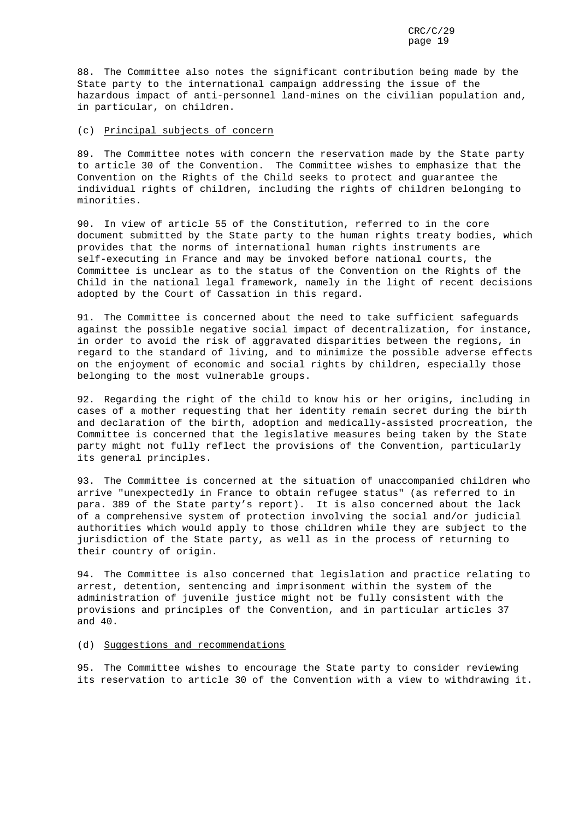88. The Committee also notes the significant contribution being made by the State party to the international campaign addressing the issue of the hazardous impact of anti-personnel land-mines on the civilian population and, in particular, on children.

### (c) Principal subjects of concern

89. The Committee notes with concern the reservation made by the State party to article 30 of the Convention. The Committee wishes to emphasize that the Convention on the Rights of the Child seeks to protect and guarantee the individual rights of children, including the rights of children belonging to minorities.

90. In view of article 55 of the Constitution, referred to in the core document submitted by the State party to the human rights treaty bodies, which provides that the norms of international human rights instruments are self-executing in France and may be invoked before national courts, the Committee is unclear as to the status of the Convention on the Rights of the Child in the national legal framework, namely in the light of recent decisions adopted by the Court of Cassation in this regard.

91. The Committee is concerned about the need to take sufficient safeguards against the possible negative social impact of decentralization, for instance, in order to avoid the risk of aggravated disparities between the regions, in regard to the standard of living, and to minimize the possible adverse effects on the enjoyment of economic and social rights by children, especially those belonging to the most vulnerable groups.

92. Regarding the right of the child to know his or her origins, including in cases of a mother requesting that her identity remain secret during the birth and declaration of the birth, adoption and medically-assisted procreation, the Committee is concerned that the legislative measures being taken by the State party might not fully reflect the provisions of the Convention, particularly its general principles.

93. The Committee is concerned at the situation of unaccompanied children who arrive "unexpectedly in France to obtain refugee status" (as referred to in para. 389 of the State party's report). It is also concerned about the lack of a comprehensive system of protection involving the social and/or judicial authorities which would apply to those children while they are subject to the jurisdiction of the State party, as well as in the process of returning to their country of origin.

94. The Committee is also concerned that legislation and practice relating to arrest, detention, sentencing and imprisonment within the system of the administration of juvenile justice might not be fully consistent with the provisions and principles of the Convention, and in particular articles 37 and 40.

### (d) Suggestions and recommendations

95. The Committee wishes to encourage the State party to consider reviewing its reservation to article 30 of the Convention with a view to withdrawing it.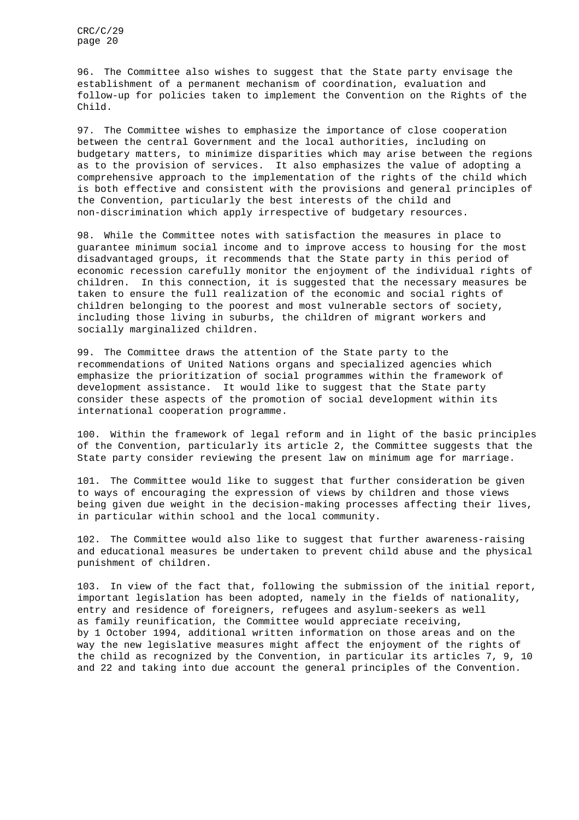96. The Committee also wishes to suggest that the State party envisage the establishment of a permanent mechanism of coordination, evaluation and follow-up for policies taken to implement the Convention on the Rights of the Child.

97. The Committee wishes to emphasize the importance of close cooperation between the central Government and the local authorities, including on budgetary matters, to minimize disparities which may arise between the regions as to the provision of services. It also emphasizes the value of adopting a comprehensive approach to the implementation of the rights of the child which is both effective and consistent with the provisions and general principles of the Convention, particularly the best interests of the child and non-discrimination which apply irrespective of budgetary resources.

98. While the Committee notes with satisfaction the measures in place to guarantee minimum social income and to improve access to housing for the most disadvantaged groups, it recommends that the State party in this period of economic recession carefully monitor the enjoyment of the individual rights of children. In this connection, it is suggested that the necessary measures be taken to ensure the full realization of the economic and social rights of children belonging to the poorest and most vulnerable sectors of society, including those living in suburbs, the children of migrant workers and socially marginalized children.

99. The Committee draws the attention of the State party to the recommendations of United Nations organs and specialized agencies which emphasize the prioritization of social programmes within the framework of development assistance. It would like to suggest that the State party consider these aspects of the promotion of social development within its international cooperation programme.

100. Within the framework of legal reform and in light of the basic principles of the Convention, particularly its article 2, the Committee suggests that the State party consider reviewing the present law on minimum age for marriage.

101. The Committee would like to suggest that further consideration be given to ways of encouraging the expression of views by children and those views being given due weight in the decision-making processes affecting their lives, in particular within school and the local community.

102. The Committee would also like to suggest that further awareness-raising and educational measures be undertaken to prevent child abuse and the physical punishment of children.

103. In view of the fact that, following the submission of the initial report, important legislation has been adopted, namely in the fields of nationality, entry and residence of foreigners, refugees and asylum-seekers as well as family reunification, the Committee would appreciate receiving, by 1 October 1994, additional written information on those areas and on the way the new legislative measures might affect the enjoyment of the rights of the child as recognized by the Convention, in particular its articles 7, 9, 10 and 22 and taking into due account the general principles of the Convention.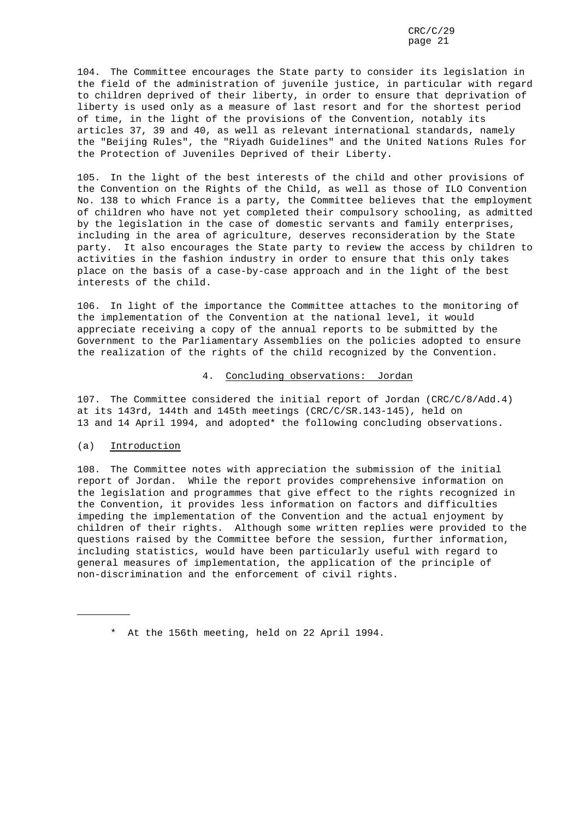104. The Committee encourages the State party to consider its legislation in the field of the administration of juvenile justice, in particular with regard to children deprived of their liberty, in order to ensure that deprivation of liberty is used only as a measure of last resort and for the shortest period of time, in the light of the provisions of the Convention, notably its articles 37, 39 and 40, as well as relevant international standards, namely the "Beijing Rules", the "Riyadh Guidelines" and the United Nations Rules for the Protection of Juveniles Deprived of their Liberty.

105. In the light of the best interests of the child and other provisions of the Convention on the Rights of the Child, as well as those of ILO Convention No. 138 to which France is a party, the Committee believes that the employment of children who have not yet completed their compulsory schooling, as admitted by the legislation in the case of domestic servants and family enterprises, including in the area of agriculture, deserves reconsideration by the State party. It also encourages the State party to review the access by children to activities in the fashion industry in order to ensure that this only takes place on the basis of a case-by-case approach and in the light of the best interests of the child.

106. In light of the importance the Committee attaches to the monitoring of the implementation of the Convention at the national level, it would appreciate receiving a copy of the annual reports to be submitted by the Government to the Parliamentary Assemblies on the policies adopted to ensure the realization of the rights of the child recognized by the Convention.

### 4. Concluding observations: Jordan

107. The Committee considered the initial report of Jordan (CRC/C/8/Add.4) at its 143rd, 144th and 145th meetings (CRC/C/SR.143-145), held on 13 and 14 April 1994, and adopted\* the following concluding observations.

### (a) Introduction

108. The Committee notes with appreciation the submission of the initial report of Jordan. While the report provides comprehensive information on the legislation and programmes that give effect to the rights recognized in the Convention, it provides less information on factors and difficulties impeding the implementation of the Convention and the actual enjoyment by children of their rights. Although some written replies were provided to the questions raised by the Committee before the session, further information, including statistics, would have been particularly useful with regard to general measures of implementation, the application of the principle of non-discrimination and the enforcement of civil rights.

<sup>\*</sup> At the 156th meeting, held on 22 April 1994.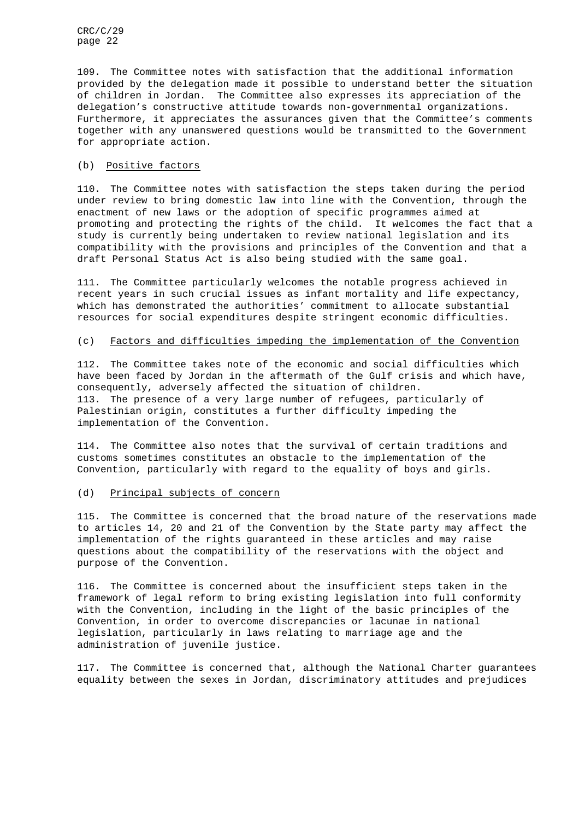109. The Committee notes with satisfaction that the additional information provided by the delegation made it possible to understand better the situation of children in Jordan. The Committee also expresses its appreciation of the delegation's constructive attitude towards non-governmental organizations. Furthermore, it appreciates the assurances given that the Committee's comments together with any unanswered questions would be transmitted to the Government for appropriate action.

### (b) Positive factors

110. The Committee notes with satisfaction the steps taken during the period under review to bring domestic law into line with the Convention, through the enactment of new laws or the adoption of specific programmes aimed at promoting and protecting the rights of the child. It welcomes the fact that a study is currently being undertaken to review national legislation and its compatibility with the provisions and principles of the Convention and that a draft Personal Status Act is also being studied with the same goal.

111. The Committee particularly welcomes the notable progress achieved in recent years in such crucial issues as infant mortality and life expectancy, which has demonstrated the authorities' commitment to allocate substantial resources for social expenditures despite stringent economic difficulties.

### (c) Factors and difficulties impeding the implementation of the Convention

112. The Committee takes note of the economic and social difficulties which have been faced by Jordan in the aftermath of the Gulf crisis and which have, consequently, adversely affected the situation of children. 113. The presence of a very large number of refugees, particularly of Palestinian origin, constitutes a further difficulty impeding the implementation of the Convention.

114. The Committee also notes that the survival of certain traditions and customs sometimes constitutes an obstacle to the implementation of the Convention, particularly with regard to the equality of boys and girls.

### (d) Principal subjects of concern

115. The Committee is concerned that the broad nature of the reservations made to articles 14, 20 and 21 of the Convention by the State party may affect the implementation of the rights guaranteed in these articles and may raise questions about the compatibility of the reservations with the object and purpose of the Convention.

116. The Committee is concerned about the insufficient steps taken in the framework of legal reform to bring existing legislation into full conformity with the Convention, including in the light of the basic principles of the Convention, in order to overcome discrepancies or lacunae in national legislation, particularly in laws relating to marriage age and the administration of juvenile justice.

117. The Committee is concerned that, although the National Charter guarantees equality between the sexes in Jordan, discriminatory attitudes and prejudices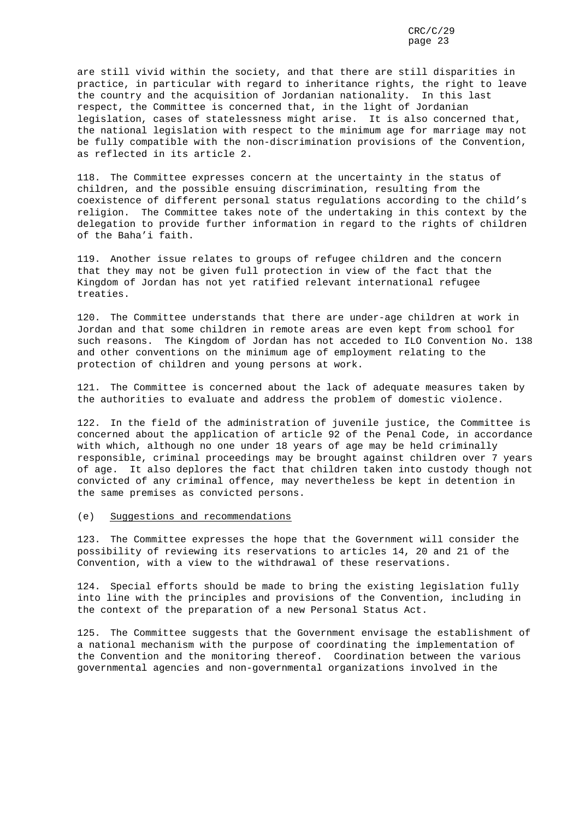are still vivid within the society, and that there are still disparities in practice, in particular with regard to inheritance rights, the right to leave the country and the acquisition of Jordanian nationality. In this last respect, the Committee is concerned that, in the light of Jordanian legislation, cases of statelessness might arise. It is also concerned that, the national legislation with respect to the minimum age for marriage may not be fully compatible with the non-discrimination provisions of the Convention, as reflected in its article 2.

118. The Committee expresses concern at the uncertainty in the status of children, and the possible ensuing discrimination, resulting from the coexistence of different personal status regulations according to the child's religion. The Committee takes note of the undertaking in this context by the delegation to provide further information in regard to the rights of children of the Baha'i faith.

119. Another issue relates to groups of refugee children and the concern that they may not be given full protection in view of the fact that the Kingdom of Jordan has not yet ratified relevant international refugee treaties.

120. The Committee understands that there are under-age children at work in Jordan and that some children in remote areas are even kept from school for such reasons. The Kingdom of Jordan has not acceded to ILO Convention No. 138 and other conventions on the minimum age of employment relating to the protection of children and young persons at work.

121. The Committee is concerned about the lack of adequate measures taken by the authorities to evaluate and address the problem of domestic violence.

122. In the field of the administration of juvenile justice, the Committee is concerned about the application of article 92 of the Penal Code, in accordance with which, although no one under 18 years of age may be held criminally responsible, criminal proceedings may be brought against children over 7 years of age. It also deplores the fact that children taken into custody though not convicted of any criminal offence, may nevertheless be kept in detention in the same premises as convicted persons.

### (e) Suggestions and recommendations

123. The Committee expresses the hope that the Government will consider the possibility of reviewing its reservations to articles 14, 20 and 21 of the Convention, with a view to the withdrawal of these reservations.

124. Special efforts should be made to bring the existing legislation fully into line with the principles and provisions of the Convention, including in the context of the preparation of a new Personal Status Act.

125. The Committee suggests that the Government envisage the establishment of a national mechanism with the purpose of coordinating the implementation of the Convention and the monitoring thereof. Coordination between the various governmental agencies and non-governmental organizations involved in the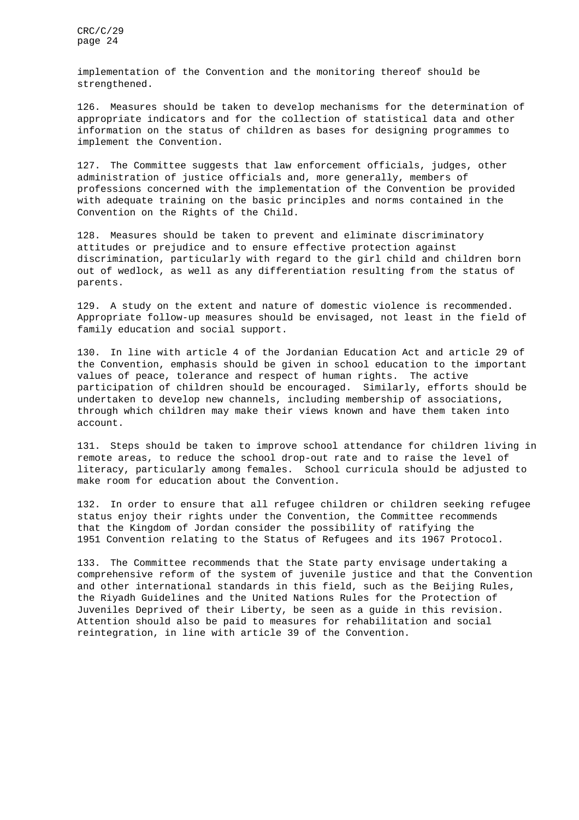implementation of the Convention and the monitoring thereof should be strengthened.

126. Measures should be taken to develop mechanisms for the determination of appropriate indicators and for the collection of statistical data and other information on the status of children as bases for designing programmes to implement the Convention.

127. The Committee suggests that law enforcement officials, judges, other administration of justice officials and, more generally, members of professions concerned with the implementation of the Convention be provided with adequate training on the basic principles and norms contained in the Convention on the Rights of the Child.

128. Measures should be taken to prevent and eliminate discriminatory attitudes or prejudice and to ensure effective protection against discrimination, particularly with regard to the girl child and children born out of wedlock, as well as any differentiation resulting from the status of parents.

129. A study on the extent and nature of domestic violence is recommended. Appropriate follow-up measures should be envisaged, not least in the field of family education and social support.

130. In line with article 4 of the Jordanian Education Act and article 29 of the Convention, emphasis should be given in school education to the important values of peace, tolerance and respect of human rights. The active participation of children should be encouraged. Similarly, efforts should be undertaken to develop new channels, including membership of associations, through which children may make their views known and have them taken into account.

131. Steps should be taken to improve school attendance for children living in remote areas, to reduce the school drop-out rate and to raise the level of literacy, particularly among females. School curricula should be adjusted to make room for education about the Convention.

132. In order to ensure that all refugee children or children seeking refugee status enjoy their rights under the Convention, the Committee recommends that the Kingdom of Jordan consider the possibility of ratifying the 1951 Convention relating to the Status of Refugees and its 1967 Protocol.

133. The Committee recommends that the State party envisage undertaking a comprehensive reform of the system of juvenile justice and that the Convention and other international standards in this field, such as the Beijing Rules, the Riyadh Guidelines and the United Nations Rules for the Protection of Juveniles Deprived of their Liberty, be seen as a guide in this revision. Attention should also be paid to measures for rehabilitation and social reintegration, in line with article 39 of the Convention.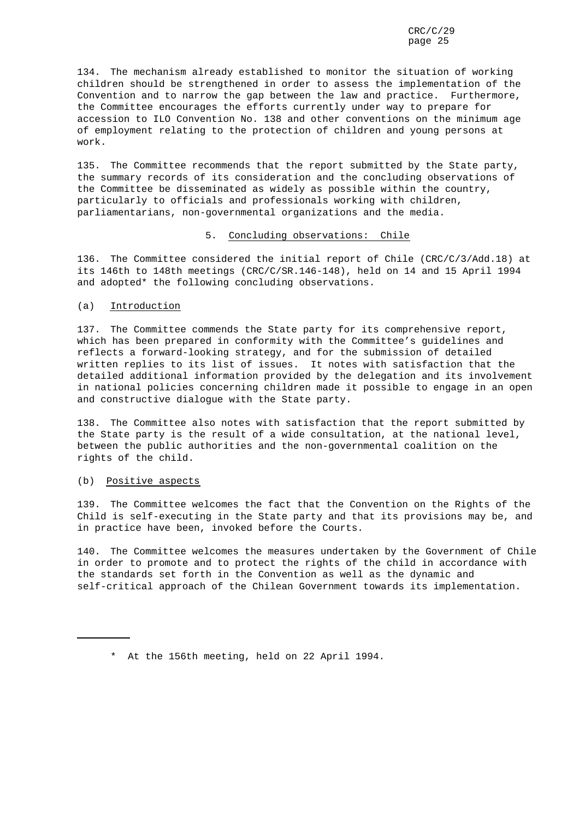134. The mechanism already established to monitor the situation of working children should be strengthened in order to assess the implementation of the Convention and to narrow the gap between the law and practice. Furthermore, the Committee encourages the efforts currently under way to prepare for accession to ILO Convention No. 138 and other conventions on the minimum age of employment relating to the protection of children and young persons at work.

135. The Committee recommends that the report submitted by the State party, the summary records of its consideration and the concluding observations of the Committee be disseminated as widely as possible within the country, particularly to officials and professionals working with children, parliamentarians, non-governmental organizations and the media.

### 5. Concluding observations: Chile

136. The Committee considered the initial report of Chile (CRC/C/3/Add.18) at its 146th to 148th meetings (CRC/C/SR.146-148), held on 14 and 15 April 1994 and adopted\* the following concluding observations.

### (a) Introduction

137. The Committee commends the State party for its comprehensive report, which has been prepared in conformity with the Committee's guidelines and reflects a forward-looking strategy, and for the submission of detailed written replies to its list of issues. It notes with satisfaction that the detailed additional information provided by the delegation and its involvement in national policies concerning children made it possible to engage in an open and constructive dialogue with the State party.

138. The Committee also notes with satisfaction that the report submitted by the State party is the result of a wide consultation, at the national level, between the public authorities and the non-governmental coalition on the rights of the child.

### (b) Positive aspects

139. The Committee welcomes the fact that the Convention on the Rights of the Child is self-executing in the State party and that its provisions may be, and in practice have been, invoked before the Courts.

140. The Committee welcomes the measures undertaken by the Government of Chile in order to promote and to protect the rights of the child in accordance with the standards set forth in the Convention as well as the dynamic and self-critical approach of the Chilean Government towards its implementation.

<sup>\*</sup> At the 156th meeting, held on 22 April 1994.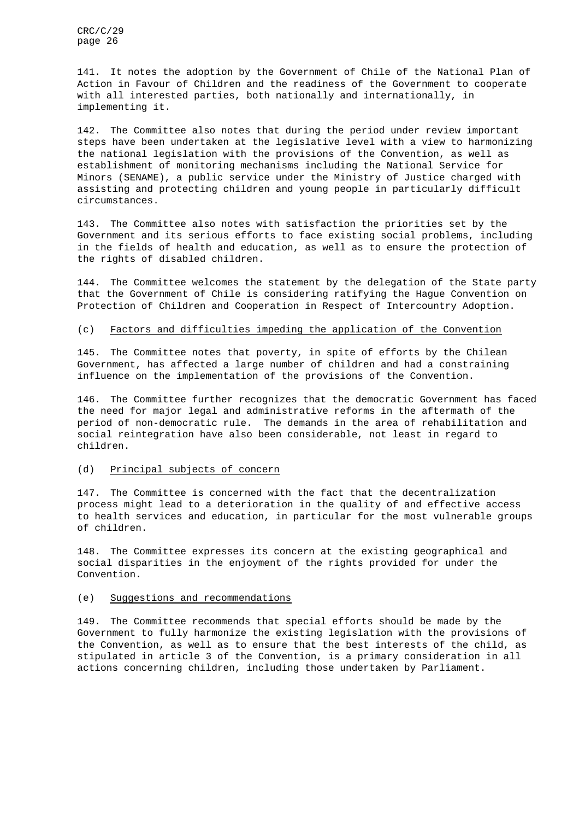141. It notes the adoption by the Government of Chile of the National Plan of Action in Favour of Children and the readiness of the Government to cooperate with all interested parties, both nationally and internationally, in implementing it.

142. The Committee also notes that during the period under review important steps have been undertaken at the legislative level with a view to harmonizing the national legislation with the provisions of the Convention, as well as establishment of monitoring mechanisms including the National Service for Minors (SENAME), a public service under the Ministry of Justice charged with assisting and protecting children and young people in particularly difficult circumstances.

143. The Committee also notes with satisfaction the priorities set by the Government and its serious efforts to face existing social problems, including in the fields of health and education, as well as to ensure the protection of the rights of disabled children.

144. The Committee welcomes the statement by the delegation of the State party that the Government of Chile is considering ratifying the Hague Convention on Protection of Children and Cooperation in Respect of Intercountry Adoption.

### (c) Factors and difficulties impeding the application of the Convention

145. The Committee notes that poverty, in spite of efforts by the Chilean Government, has affected a large number of children and had a constraining influence on the implementation of the provisions of the Convention.

146. The Committee further recognizes that the democratic Government has faced the need for major legal and administrative reforms in the aftermath of the period of non-democratic rule. The demands in the area of rehabilitation and social reintegration have also been considerable, not least in regard to children.

### (d) Principal subjects of concern

147. The Committee is concerned with the fact that the decentralization process might lead to a deterioration in the quality of and effective access to health services and education, in particular for the most vulnerable groups of children.

148. The Committee expresses its concern at the existing geographical and social disparities in the enjoyment of the rights provided for under the Convention.

### (e) Suggestions and recommendations

149. The Committee recommends that special efforts should be made by the Government to fully harmonize the existing legislation with the provisions of the Convention, as well as to ensure that the best interests of the child, as stipulated in article 3 of the Convention, is a primary consideration in all actions concerning children, including those undertaken by Parliament.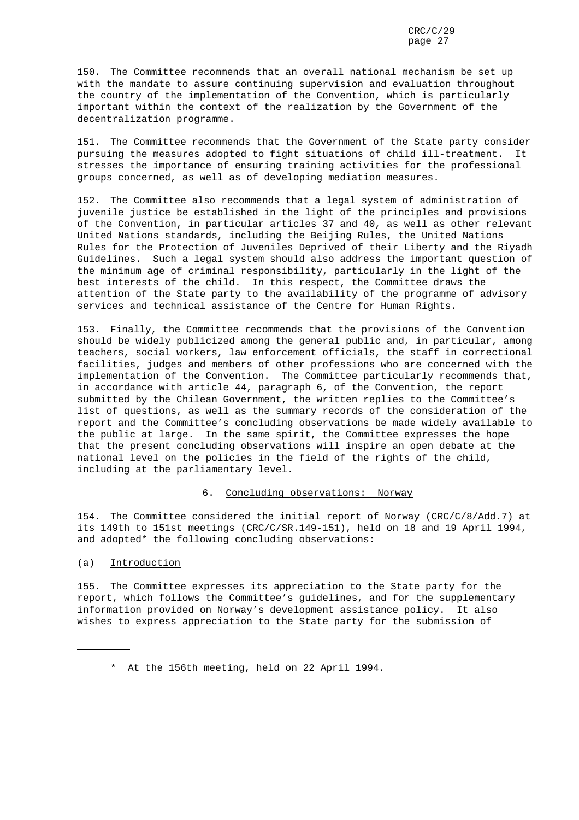150. The Committee recommends that an overall national mechanism be set up with the mandate to assure continuing supervision and evaluation throughout the country of the implementation of the Convention, which is particularly important within the context of the realization by the Government of the decentralization programme.

151. The Committee recommends that the Government of the State party consider pursuing the measures adopted to fight situations of child ill-treatment. It stresses the importance of ensuring training activities for the professional groups concerned, as well as of developing mediation measures.

152. The Committee also recommends that a legal system of administration of juvenile justice be established in the light of the principles and provisions of the Convention, in particular articles 37 and 40, as well as other relevant United Nations standards, including the Beijing Rules, the United Nations Rules for the Protection of Juveniles Deprived of their Liberty and the Riyadh Guidelines. Such a legal system should also address the important question of the minimum age of criminal responsibility, particularly in the light of the best interests of the child. In this respect, the Committee draws the attention of the State party to the availability of the programme of advisory services and technical assistance of the Centre for Human Rights.

153. Finally, the Committee recommends that the provisions of the Convention should be widely publicized among the general public and, in particular, among teachers, social workers, law enforcement officials, the staff in correctional facilities, judges and members of other professions who are concerned with the implementation of the Convention. The Committee particularly recommends that, in accordance with article 44, paragraph 6, of the Convention, the report submitted by the Chilean Government, the written replies to the Committee's list of questions, as well as the summary records of the consideration of the report and the Committee's concluding observations be made widely available to the public at large. In the same spirit, the Committee expresses the hope that the present concluding observations will inspire an open debate at the national level on the policies in the field of the rights of the child, including at the parliamentary level.

### 6. Concluding observations: Norway

154. The Committee considered the initial report of Norway (CRC/C/8/Add.7) at its 149th to 151st meetings (CRC/C/SR.149-151), held on 18 and 19 April 1994, and adopted\* the following concluding observations:

### (a) Introduction

155. The Committee expresses its appreciation to the State party for the report, which follows the Committee's guidelines, and for the supplementary information provided on Norway's development assistance policy. It also wishes to express appreciation to the State party for the submission of

<sup>\*</sup> At the 156th meeting, held on 22 April 1994.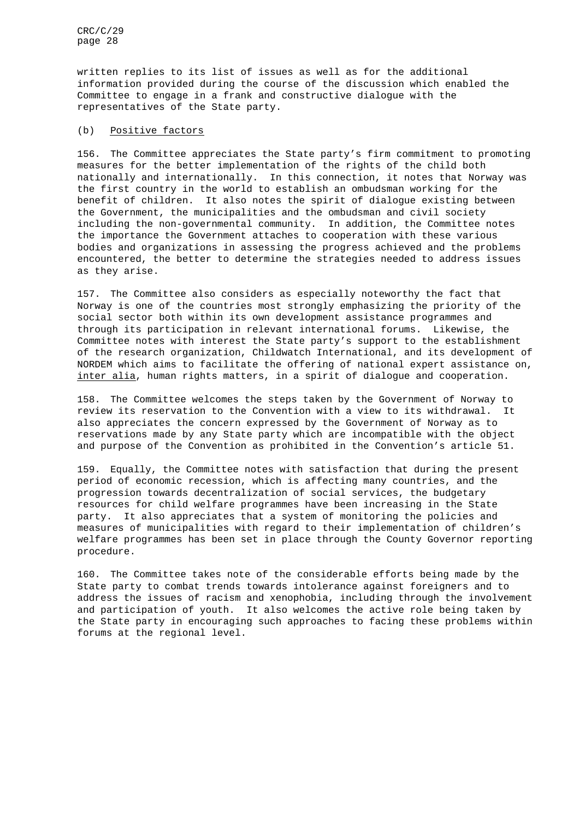written replies to its list of issues as well as for the additional information provided during the course of the discussion which enabled the Committee to engage in a frank and constructive dialogue with the representatives of the State party.

### (b) Positive factors

156. The Committee appreciates the State party's firm commitment to promoting measures for the better implementation of the rights of the child both nationally and internationally. In this connection, it notes that Norway was the first country in the world to establish an ombudsman working for the benefit of children. It also notes the spirit of dialogue existing between the Government, the municipalities and the ombudsman and civil society including the non-governmental community. In addition, the Committee notes the importance the Government attaches to cooperation with these various bodies and organizations in assessing the progress achieved and the problems encountered, the better to determine the strategies needed to address issues as they arise.

157. The Committee also considers as especially noteworthy the fact that Norway is one of the countries most strongly emphasizing the priority of the social sector both within its own development assistance programmes and through its participation in relevant international forums. Likewise, the Committee notes with interest the State party's support to the establishment of the research organization, Childwatch International, and its development of NORDEM which aims to facilitate the offering of national expert assistance on, inter alia, human rights matters, in a spirit of dialogue and cooperation.

158. The Committee welcomes the steps taken by the Government of Norway to review its reservation to the Convention with a view to its withdrawal. It also appreciates the concern expressed by the Government of Norway as to reservations made by any State party which are incompatible with the object and purpose of the Convention as prohibited in the Convention's article 51.

159. Equally, the Committee notes with satisfaction that during the present period of economic recession, which is affecting many countries, and the progression towards decentralization of social services, the budgetary resources for child welfare programmes have been increasing in the State party. It also appreciates that a system of monitoring the policies and measures of municipalities with regard to their implementation of children's welfare programmes has been set in place through the County Governor reporting procedure.

160. The Committee takes note of the considerable efforts being made by the State party to combat trends towards intolerance against foreigners and to address the issues of racism and xenophobia, including through the involvement and participation of youth. It also welcomes the active role being taken by the State party in encouraging such approaches to facing these problems within forums at the regional level.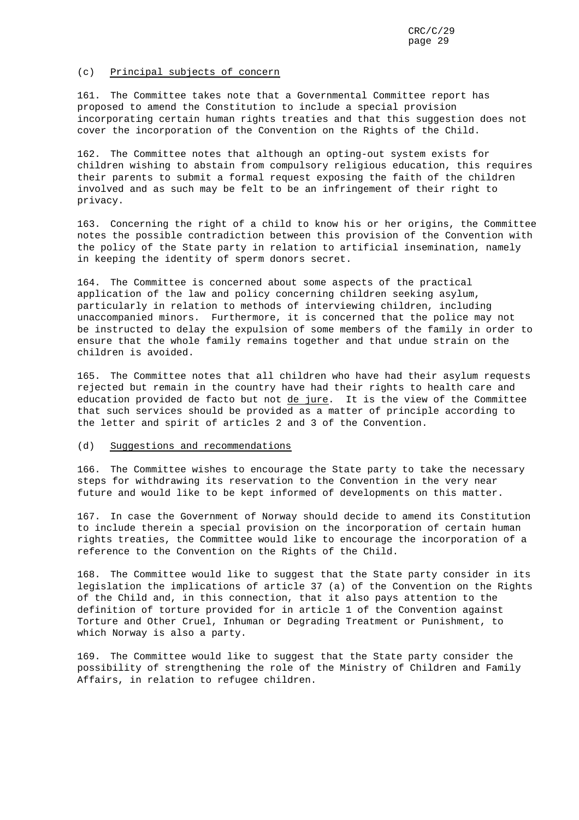### (c) Principal subjects of concern

161. The Committee takes note that a Governmental Committee report has proposed to amend the Constitution to include a special provision incorporating certain human rights treaties and that this suggestion does not cover the incorporation of the Convention on the Rights of the Child.

162. The Committee notes that although an opting-out system exists for children wishing to abstain from compulsory religious education, this requires their parents to submit a formal request exposing the faith of the children involved and as such may be felt to be an infringement of their right to privacy.

163. Concerning the right of a child to know his or her origins, the Committee notes the possible contradiction between this provision of the Convention with the policy of the State party in relation to artificial insemination, namely in keeping the identity of sperm donors secret.

164. The Committee is concerned about some aspects of the practical application of the law and policy concerning children seeking asylum, particularly in relation to methods of interviewing children, including unaccompanied minors. Furthermore, it is concerned that the police may not be instructed to delay the expulsion of some members of the family in order to ensure that the whole family remains together and that undue strain on the children is avoided.

165. The Committee notes that all children who have had their asylum requests rejected but remain in the country have had their rights to health care and education provided de facto but not de jure. It is the view of the Committee that such services should be provided as a matter of principle according to the letter and spirit of articles 2 and 3 of the Convention.

### (d) Suggestions and recommendations

166. The Committee wishes to encourage the State party to take the necessary steps for withdrawing its reservation to the Convention in the very near future and would like to be kept informed of developments on this matter.

167. In case the Government of Norway should decide to amend its Constitution to include therein a special provision on the incorporation of certain human rights treaties, the Committee would like to encourage the incorporation of a reference to the Convention on the Rights of the Child.

168. The Committee would like to suggest that the State party consider in its legislation the implications of article 37 (a) of the Convention on the Rights of the Child and, in this connection, that it also pays attention to the definition of torture provided for in article 1 of the Convention against Torture and Other Cruel, Inhuman or Degrading Treatment or Punishment, to which Norway is also a party.

169. The Committee would like to suggest that the State party consider the possibility of strengthening the role of the Ministry of Children and Family Affairs, in relation to refugee children.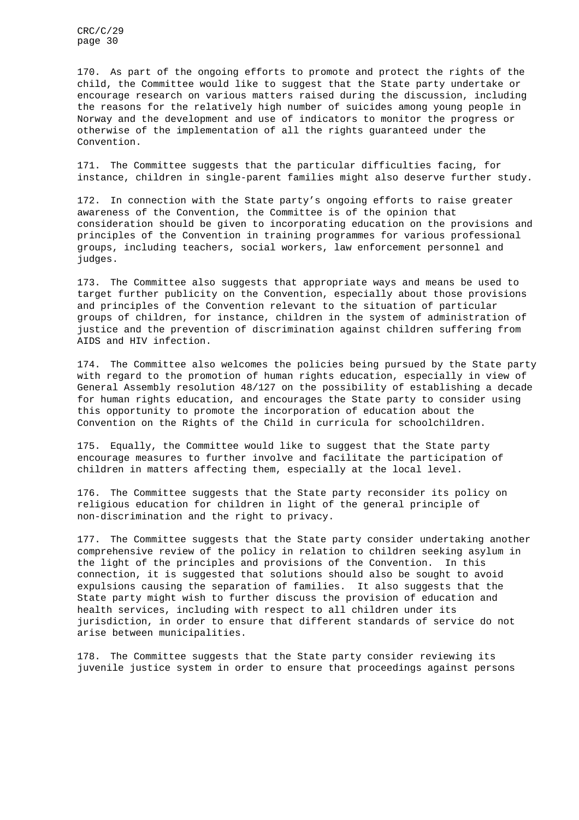170. As part of the ongoing efforts to promote and protect the rights of the child, the Committee would like to suggest that the State party undertake or encourage research on various matters raised during the discussion, including the reasons for the relatively high number of suicides among young people in Norway and the development and use of indicators to monitor the progress or otherwise of the implementation of all the rights guaranteed under the Convention.

171. The Committee suggests that the particular difficulties facing, for instance, children in single-parent families might also deserve further study.

172. In connection with the State party's ongoing efforts to raise greater awareness of the Convention, the Committee is of the opinion that consideration should be given to incorporating education on the provisions and principles of the Convention in training programmes for various professional groups, including teachers, social workers, law enforcement personnel and judges.

173. The Committee also suggests that appropriate ways and means be used to target further publicity on the Convention, especially about those provisions and principles of the Convention relevant to the situation of particular groups of children, for instance, children in the system of administration of justice and the prevention of discrimination against children suffering from AIDS and HIV infection.

174. The Committee also welcomes the policies being pursued by the State party with regard to the promotion of human rights education, especially in view of General Assembly resolution 48/127 on the possibility of establishing a decade for human rights education, and encourages the State party to consider using this opportunity to promote the incorporation of education about the Convention on the Rights of the Child in curricula for schoolchildren.

175. Equally, the Committee would like to suggest that the State party encourage measures to further involve and facilitate the participation of children in matters affecting them, especially at the local level.

176. The Committee suggests that the State party reconsider its policy on religious education for children in light of the general principle of non-discrimination and the right to privacy.

177. The Committee suggests that the State party consider undertaking another comprehensive review of the policy in relation to children seeking asylum in the light of the principles and provisions of the Convention. In this connection, it is suggested that solutions should also be sought to avoid expulsions causing the separation of families. It also suggests that the State party might wish to further discuss the provision of education and health services, including with respect to all children under its jurisdiction, in order to ensure that different standards of service do not arise between municipalities.

178. The Committee suggests that the State party consider reviewing its juvenile justice system in order to ensure that proceedings against persons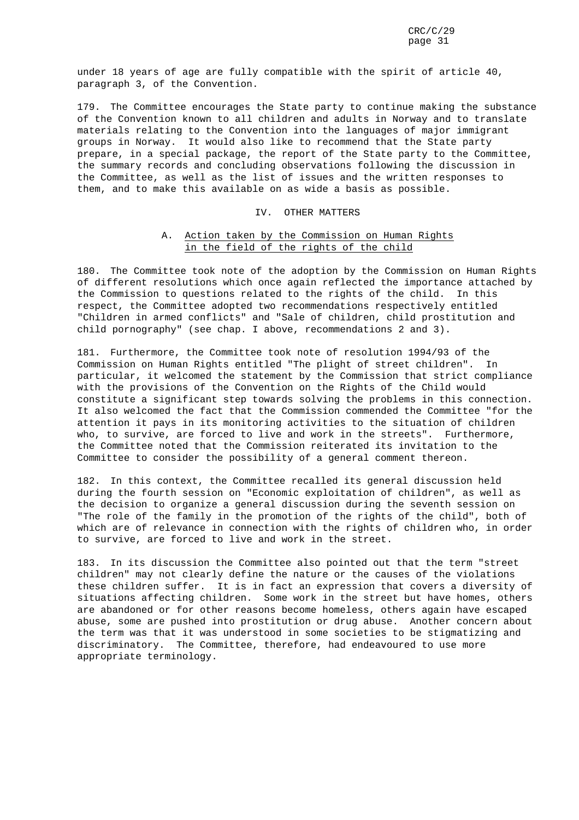under 18 years of age are fully compatible with the spirit of article 40, paragraph 3, of the Convention.

179. The Committee encourages the State party to continue making the substance of the Convention known to all children and adults in Norway and to translate materials relating to the Convention into the languages of major immigrant groups in Norway. It would also like to recommend that the State party prepare, in a special package, the report of the State party to the Committee, the summary records and concluding observations following the discussion in the Committee, as well as the list of issues and the written responses to them, and to make this available on as wide a basis as possible.

### IV. OTHER MATTERS

### A. Action taken by the Commission on Human Rights in the field of the rights of the child

180. The Committee took note of the adoption by the Commission on Human Rights of different resolutions which once again reflected the importance attached by the Commission to questions related to the rights of the child. In this respect, the Committee adopted two recommendations respectively entitled "Children in armed conflicts" and "Sale of children, child prostitution and child pornography" (see chap. I above, recommendations 2 and 3).

181. Furthermore, the Committee took note of resolution 1994/93 of the Commission on Human Rights entitled "The plight of street children". In particular, it welcomed the statement by the Commission that strict compliance with the provisions of the Convention on the Rights of the Child would constitute a significant step towards solving the problems in this connection. It also welcomed the fact that the Commission commended the Committee "for the attention it pays in its monitoring activities to the situation of children who, to survive, are forced to live and work in the streets". Furthermore, the Committee noted that the Commission reiterated its invitation to the Committee to consider the possibility of a general comment thereon.

182. In this context, the Committee recalled its general discussion held during the fourth session on "Economic exploitation of children", as well as the decision to organize a general discussion during the seventh session on "The role of the family in the promotion of the rights of the child", both of which are of relevance in connection with the rights of children who, in order to survive, are forced to live and work in the street.

183. In its discussion the Committee also pointed out that the term "street children" may not clearly define the nature or the causes of the violations these children suffer. It is in fact an expression that covers a diversity of situations affecting children. Some work in the street but have homes, others are abandoned or for other reasons become homeless, others again have escaped abuse, some are pushed into prostitution or drug abuse. Another concern about the term was that it was understood in some societies to be stigmatizing and discriminatory. The Committee, therefore, had endeavoured to use more appropriate terminology.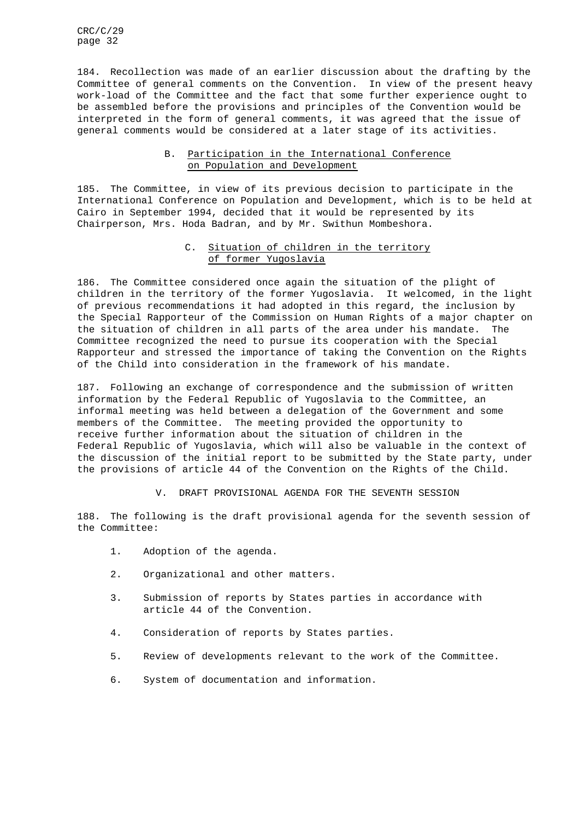184. Recollection was made of an earlier discussion about the drafting by the Committee of general comments on the Convention. In view of the present heavy work-load of the Committee and the fact that some further experience ought to be assembled before the provisions and principles of the Convention would be interpreted in the form of general comments, it was agreed that the issue of general comments would be considered at a later stage of its activities.

### B. Participation in the International Conference on Population and Development

185. The Committee, in view of its previous decision to participate in the International Conference on Population and Development, which is to be held at Cairo in September 1994, decided that it would be represented by its Chairperson, Mrs. Hoda Badran, and by Mr. Swithun Mombeshora.

### C. Situation of children in the territory of former Yugoslavia

186. The Committee considered once again the situation of the plight of children in the territory of the former Yugoslavia. It welcomed, in the light of previous recommendations it had adopted in this regard, the inclusion by the Special Rapporteur of the Commission on Human Rights of a major chapter on the situation of children in all parts of the area under his mandate. The Committee recognized the need to pursue its cooperation with the Special Rapporteur and stressed the importance of taking the Convention on the Rights of the Child into consideration in the framework of his mandate.

187. Following an exchange of correspondence and the submission of written information by the Federal Republic of Yugoslavia to the Committee, an informal meeting was held between a delegation of the Government and some members of the Committee. The meeting provided the opportunity to receive further information about the situation of children in the Federal Republic of Yugoslavia, which will also be valuable in the context of the discussion of the initial report to be submitted by the State party, under the provisions of article 44 of the Convention on the Rights of the Child.

V. DRAFT PROVISIONAL AGENDA FOR THE SEVENTH SESSION

188. The following is the draft provisional agenda for the seventh session of the Committee:

- 1. Adoption of the agenda.
- 2. Organizational and other matters.
- 3. Submission of reports by States parties in accordance with article 44 of the Convention.
- 4. Consideration of reports by States parties.
- 5. Review of developments relevant to the work of the Committee.
- 6. System of documentation and information.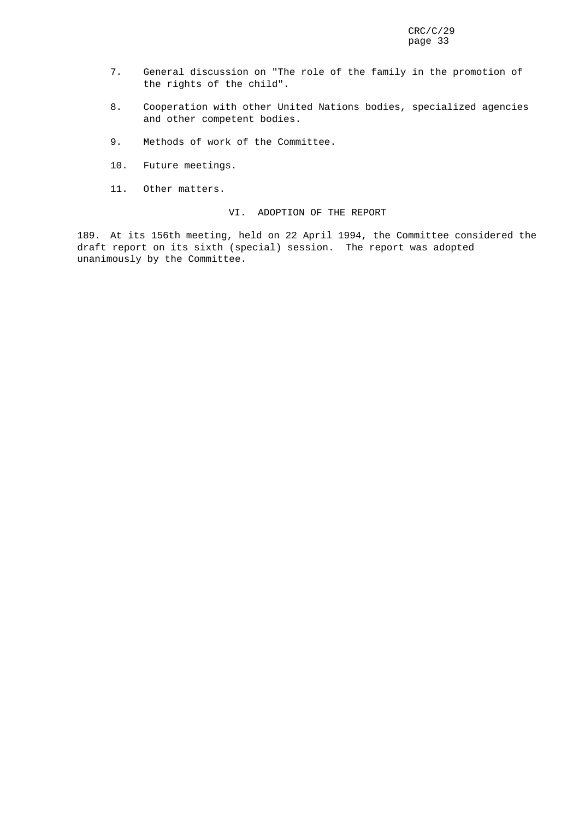- 7. General discussion on "The role of the family in the promotion of the rights of the child".
- 8. Cooperation with other United Nations bodies, specialized agencies and other competent bodies.
- 9. Methods of work of the Committee.
- 10. Future meetings.
- 11. Other matters.

VI. ADOPTION OF THE REPORT

189. At its 156th meeting, held on 22 April 1994, the Committee considered the draft report on its sixth (special) session. The report was adopted unanimously by the Committee.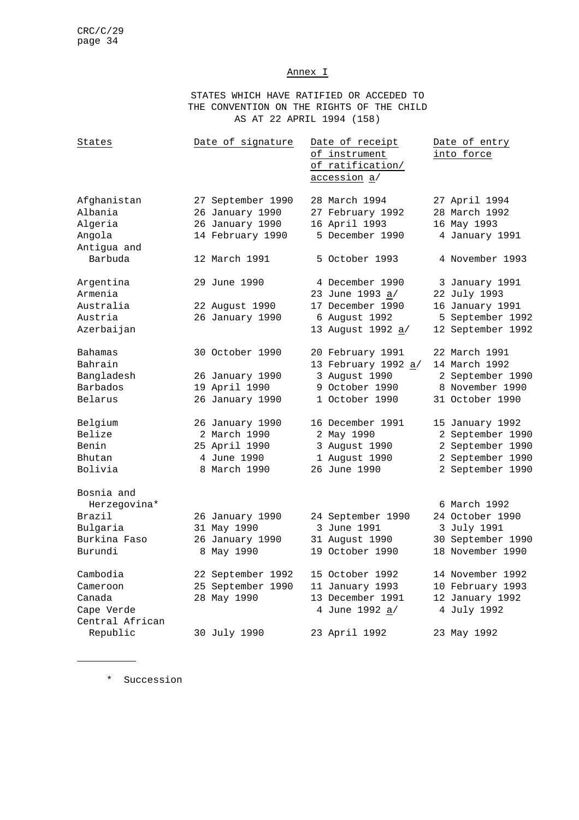### Annex I

STATES WHICH HAVE RATIFIED OR ACCEDED TO THE CONVENTION ON THE RIGHTS OF THE CHILD AS AT 22 APRIL 1994 (158)

| States                                                                      | Date of signature                                                               | Date of receipt<br>of instrument<br>of ratification/<br>accession a/                         | Date of entry<br>into force                                                                     |
|-----------------------------------------------------------------------------|---------------------------------------------------------------------------------|----------------------------------------------------------------------------------------------|-------------------------------------------------------------------------------------------------|
| Afghanistan<br>Albania<br>Algeria<br>Angola<br>Antigua and                  | 27 September 1990<br>26 January 1990<br>26 January 1990<br>14 February 1990     | 28 March 1994<br>27 February 1992<br>16 April 1993<br>5 December 1990                        | 27 April 1994<br>28 March 1992<br>16 May 1993<br>4 January 1991                                 |
| Barbuda                                                                     | 12 March 1991                                                                   | 5 October 1993                                                                               | 4 November 1993                                                                                 |
| Argentina<br>Armenia<br>Australia<br>Austria<br>Azerbaijan                  | 29 June 1990<br>22 August 1990<br>26 January 1990                               | 4 December 1990<br>23 June 1993 a/<br>17 December 1990<br>6 August 1992<br>13 August 1992 a/ | 3 January 1991<br>22 July 1993<br>16 January 1991<br>5 September 1992<br>12 September 1992      |
| Bahamas<br>Bahrain<br>Bangladesh<br><b>Barbados</b><br>Belarus              | 30 October 1990<br>26 January 1990<br>19 April 1990<br>26 January 1990          | 20 February 1991<br>13 February 1992 a/<br>3 August 1990<br>9 October 1990<br>1 October 1990 | 22 March 1991<br>14 March 1992<br>2 September 1990<br>8 November 1990<br>31 October 1990        |
| Belgium<br>Belize<br>Benin<br>Bhutan<br>Bolivia                             | 26 January 1990<br>2 March 1990<br>25 April 1990<br>4 June 1990<br>8 March 1990 | 16 December 1991<br>2 May 1990<br>3 August 1990<br>1 August 1990<br>26 June 1990             | 15 January 1992<br>2 September 1990<br>2 September 1990<br>2 September 1990<br>2 September 1990 |
| Bosnia and<br>Herzegovina*<br>Brazil<br>Bulgaria<br>Burkina Faso<br>Burundi | 26 January 1990<br>31 May 1990<br>26 January 1990<br>8 May 1990                 | 24 September 1990<br>3 June 1991<br>31 August 1990<br>19 October 1990                        | 6 March 1992<br>24 October 1990<br>3 July 1991<br>30 September 1990<br>18 November 1990         |
| Cambodia<br>Cameroon<br>Canada<br>Cape Verde<br>Central African             | 22 September 1992<br>25 September 1990<br>28 May 1990                           | 15 October 1992<br>11 January 1993<br>13 December 1991<br>4 June 1992 a/                     | 14 November 1992<br>10 February 1993<br>12 January 1992<br>4 July 1992                          |
| Republic                                                                    | 30 July 1990                                                                    | 23 April 1992                                                                                | 23 May 1992                                                                                     |

\* Succession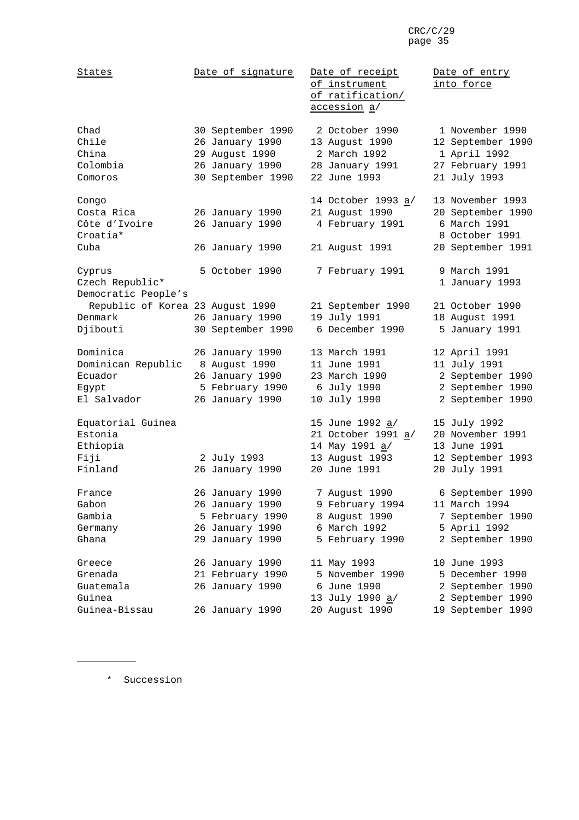| States                                                            | Date of signature                                                                              | Date of receipt<br>of instrument<br>of ratification/<br><u>accession a/</u>                | Date of entry<br>into force                                                                  |
|-------------------------------------------------------------------|------------------------------------------------------------------------------------------------|--------------------------------------------------------------------------------------------|----------------------------------------------------------------------------------------------|
| Chad<br>Chile<br>China<br>Colombia<br>Comoros                     | 30 September 1990<br>26 January 1990<br>29 August 1990<br>26 January 1990<br>30 September 1990 | 2 October 1990<br>13 August 1990<br>2 March 1992<br>28 January 1991<br>22 June 1993        | 1 November 1990<br>12 September 1990<br>1 April 1992<br>27 February 1991<br>21 July 1993     |
| Congo<br>Costa Rica<br>Côte d'Ivoire<br>Croatia*<br>Cuba          | 26 January 1990<br>26 January 1990<br>26 January 1990                                          | 14 October 1993 a/<br>21 August 1990<br>4 February 1991<br>21 August 1991                  | 13 November 1993<br>20 September 1990<br>6 March 1991<br>8 October 1991<br>20 September 1991 |
| Cyprus<br>Czech Republic*<br>Democratic People's                  | 5 October 1990                                                                                 | 7 February 1991                                                                            | 9 March 1991<br>1 January 1993                                                               |
| Republic of Korea 23 August 1990<br>Denmark                       | 26 January 1990                                                                                | 21 September 1990<br>19 July 1991<br>6 December 1990                                       | 21 October 1990<br>18 August 1991                                                            |
| Djibouti                                                          | 30 September 1990                                                                              |                                                                                            | 5 January 1991                                                                               |
| Dominica<br>Dominican Republic<br>Ecuador<br>Egypt<br>El Salvador | 26 January 1990<br>8 August 1990<br>26 January 1990<br>5 February 1990<br>26 January 1990      | 13 March 1991<br>11 June 1991<br>23 March 1990<br>6 July 1990<br>10 July 1990              | 12 April 1991<br>11 July 1991<br>2 September 1990<br>2 September 1990<br>2 September 1990    |
| Equatorial Guinea<br>Estonia<br>Ethiopia<br>Fiji<br>Finland       | 2 July 1993<br>26 January 1990                                                                 | 15 June 1992 a/<br>21 October 1991 a/<br>14 May 1991 a/<br>13 August 1993<br>20 June 1991  | 15 July 1992<br>20 November 1991<br>13 June 1991<br>12 September 1993<br>20 July 1991        |
| France<br>Gabon<br>Gambia<br>Germany<br>Ghana                     | 26 January 1990<br>26 January 1990<br>5 February 1990<br>26 January 1990<br>29 January 1990    | 7 August 1990<br>9 February 1994<br>8 August 1990<br>6 March 1992<br>5 February 1990       | 6 September 1990<br>11 March 1994<br>7 September 1990<br>5 April 1992<br>2 September 1990    |
| Greece<br>Grenada<br>Guatemala<br>Guinea<br>Guinea-Bissau         | 26 January 1990<br>21 February 1990<br>26 January 1990<br>26 January 1990                      | 11 May 1993<br>5 November 1990<br>6 June 1990<br>13 July 1990 <u>a</u> /<br>20 August 1990 | 10 June 1993<br>5 December 1990<br>2 September 1990<br>2 September 1990<br>19 September 1990 |

\* Succession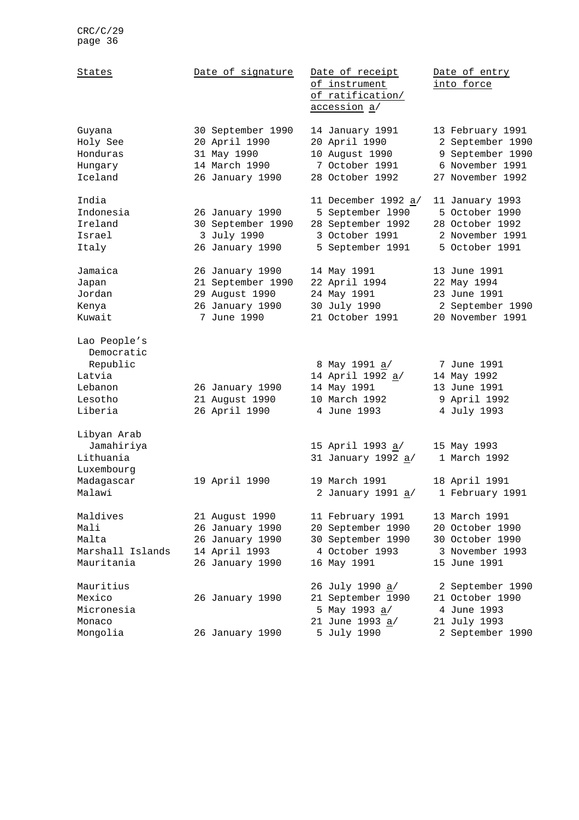| States                                                                            | Date of signature                                                                        | Date of receipt<br>of instrument<br>of ratification/<br>accession a/                               | Date of entry<br>into force                                                                     |
|-----------------------------------------------------------------------------------|------------------------------------------------------------------------------------------|----------------------------------------------------------------------------------------------------|-------------------------------------------------------------------------------------------------|
| Guyana<br>Holy See<br>Honduras<br>Hungary<br>Iceland                              | 30 September 1990<br>20 April 1990<br>31 May 1990<br>14 March 1990<br>26 January 1990    | 14 January 1991<br>20 April 1990<br>10 August 1990<br>7 October 1991<br>28 October 1992            | 13 February 1991<br>2 September 1990<br>9 September 1990<br>6 November 1991<br>27 November 1992 |
| India<br>Indonesia<br>Ireland<br>Israel<br>Italy                                  | 26 January 1990<br>30 September 1990<br>3 July 1990<br>26 January 1990                   | 11 December 1992 a/<br>5 September 1990<br>28 September 1992<br>3 October 1991<br>5 September 1991 | 11 January 1993<br>5 October 1990<br>28 October 1992<br>2 November 1991<br>5 October 1991       |
| Jamaica<br>Japan<br>Jordan<br>Kenya<br>Kuwait                                     | 26 January 1990<br>21 September 1990<br>29 August 1990<br>26 January 1990<br>7 June 1990 | 14 May 1991<br>22 April 1994<br>24 May 1991<br>30 July 1990<br>21 October 1991                     | 13 June 1991<br>22 May 1994<br>23 June 1991<br>2 September 1990<br>20 November 1991             |
| Lao People's<br>Democratic<br>Republic<br>Latvia<br>Lebanon<br>Lesotho<br>Liberia | 26 January 1990<br>21 August 1990<br>26 April 1990                                       | 8 May 1991 <u>a</u> /<br>14 April 1992 a/<br>14 May 1991<br>10 March 1992<br>4 June 1993           | 7 June 1991<br>14 May 1992<br>13 June 1991<br>9 April 1992<br>4 July 1993                       |
| Libyan Arab<br>Jamahiriya<br>Lithuania<br>Luxembourg<br>Madagascar<br>Malawi      | 19 April 1990                                                                            | 15 April 1993 <u>a</u> /<br>31 January 1992 a/<br>19 March 1991<br>2 January 1991 <u>a</u> /       | 15 May 1993<br>1 March 1992<br>18 April 1991<br>1 February 1991                                 |
| Maldives<br>Mali<br>Malta<br>Marshall Islands<br>Mauritania                       | 21 August 1990<br>26 January 1990<br>26 January 1990<br>14 April 1993<br>26 January 1990 | 11 February 1991<br>20 September 1990<br>30 September 1990<br>4 October 1993<br>16 May 1991        | 13 March 1991<br>20 October 1990<br>30 October 1990<br>3 November 1993<br>15 June 1991          |
| Mauritius<br>Mexico<br>Micronesia<br>Monaco<br>Mongolia                           | 26 January 1990<br>26 January 1990                                                       | 26 July 1990 a/<br>21 September 1990<br>5 May 1993 a/<br>21 June 1993 a/<br>5 July 1990            | 2 September 1990<br>21 October 1990<br>4 June 1993<br>21 July 1993<br>2 September 1990          |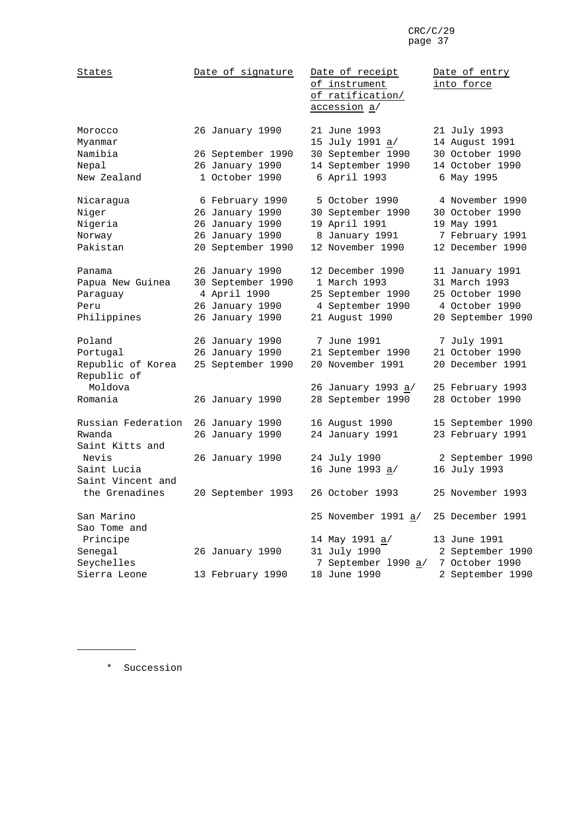| States                           | Date of signature                    | Date of receipt<br>of instrument<br>of ratification/<br>accession a/ | Date of entry<br>into force                       |
|----------------------------------|--------------------------------------|----------------------------------------------------------------------|---------------------------------------------------|
| Morocco<br>Myanmar<br>Namibia    | 26 January 1990<br>26 September 1990 | 21 June 1993<br>15 July 1991 a/<br>30 September 1990                 | 21 July 1993<br>14 August 1991<br>30 October 1990 |
| Nepal                            | 26 January 1990                      | 14 September 1990                                                    | 14 October 1990                                   |
| New Zealand                      | 1 October 1990                       | 6 April 1993                                                         | 6 May 1995                                        |
| Nicaragua                        | 6 February 1990                      | 5 October 1990                                                       | 4 November 1990                                   |
| Niger                            | 26 January 1990                      | 30 September 1990                                                    | 30 October 1990                                   |
| Nigeria                          | 26 January 1990                      | 19 April 1991                                                        | 19 May 1991                                       |
| Norway                           | 26 January 1990                      | 8 January 1991                                                       | 7 February 1991                                   |
| Pakistan                         | 20 September 1990                    | 12 November 1990                                                     | 12 December 1990                                  |
| Panama                           | 26 January 1990                      | 12 December 1990                                                     | 11 January 1991                                   |
| Papua New Guinea                 | 30 September 1990                    | 1 March 1993                                                         | 31 March 1993                                     |
| Paraguay                         | 4 April 1990                         | 25 September 1990                                                    | 25 October 1990                                   |
| Peru                             | 26 January 1990                      | 4 September 1990                                                     | 4 October 1990                                    |
| Philippines                      | 26 January 1990                      | 21 August 1990                                                       | 20 September 1990                                 |
| Poland                           | 26 January 1990                      | 7 June 1991                                                          | 7 July 1991                                       |
| Portugal                         | 26 January 1990                      | 21 September 1990                                                    | 21 October 1990                                   |
| Republic of Korea<br>Republic of | 25 September 1990                    | 20 November 1991                                                     | 20 December 1991                                  |
| Moldova                          |                                      | 26 January 1993 a/                                                   | 25 February 1993                                  |
| Romania                          | 26 January 1990                      | 28 September 1990                                                    | 28 October 1990                                   |
| Russian Federation               | 26 January 1990                      | 16 August 1990                                                       | 15 September 1990                                 |
| Rwanda<br>Saint Kitts and        | 26 January 1990                      | 24 January 1991                                                      | 23 February 1991                                  |
| Nevis                            | 26 January 1990                      | 24 July 1990                                                         | 2 September 1990                                  |
| Saint Lucia                      |                                      | 16 June 1993 a/                                                      | 16 July 1993                                      |
| Saint Vincent and                |                                      |                                                                      |                                                   |
| the Grenadines                   | 20 September 1993                    | 26 October 1993                                                      | 25 November 1993                                  |
| San Marino<br>Sao Tome and       |                                      | 25 November 1991 <u>a</u> /                                          | 25 December 1991                                  |
| Principe                         |                                      | 14 May 1991 <u>a</u> /                                               | 13 June 1991                                      |
| Senegal                          | 26 January 1990                      | 31 July 1990                                                         | 2 September 1990                                  |
| Seychelles                       |                                      | 7 September 1990 a/                                                  | 7 October 1990                                    |
| Sierra Leone                     | 13 February 1990                     | 18 June 1990                                                         | 2 September 1990                                  |

\* Succession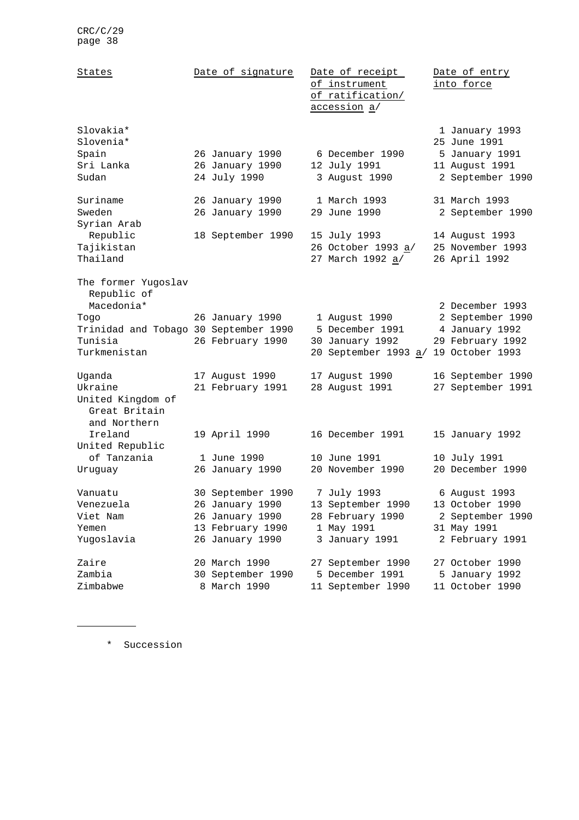| States                                                                                                       | Date of signature                                                                              | Date of receipt<br>of instrument<br>of ratification/<br>accession a/                 | Date of entry<br>into force                                                            |
|--------------------------------------------------------------------------------------------------------------|------------------------------------------------------------------------------------------------|--------------------------------------------------------------------------------------|----------------------------------------------------------------------------------------|
| Slovakia*<br>Slovenia*<br>Spain<br>Sri Lanka<br>Sudan                                                        | 26 January 1990<br>26 January 1990<br>24 July 1990                                             | 6 December 1990<br>12 July 1991<br>3 August 1990                                     | 1 January 1993<br>25 June 1991<br>5 January 1991<br>11 August 1991<br>2 September 1990 |
| Suriname<br>Sweden<br>Syrian Arab                                                                            | 26 January 1990<br>26 January 1990                                                             | 1 March 1993<br>29 June 1990                                                         | 31 March 1993<br>2 September 1990                                                      |
| Republic<br>Tajikistan<br>Thailand                                                                           | 18 September 1990                                                                              | 15 July 1993<br>26 October 1993 a/<br>27 March 1992 a/                               | 14 August 1993<br>25 November 1993<br>26 April 1992                                    |
| The former Yugoslav<br>Republic of<br>Macedonia*<br>Toqo<br>Trinidad and Tobago 30 September 1990<br>Tunisia | 26 January 1990<br>26 February 1990                                                            | 1 August 1990<br>5 December 1991<br>30 January 1992                                  | 2 December 1993<br>2 September 1990<br>4 January 1992<br>29 February 1992              |
| Turkmenistan                                                                                                 |                                                                                                | 20 September 1993 a/                                                                 | 19 October 1993                                                                        |
| Uganda<br>Ukraine<br>United Kingdom of<br>Great Britain<br>and Northern                                      | 17 August 1990<br>21 February 1991                                                             | 17 August 1990<br>28 August 1991                                                     | 16 September 1990<br>27 September 1991                                                 |
| Ireland<br>United Republic                                                                                   | 19 April 1990                                                                                  | 16 December 1991                                                                     | 15 January 1992                                                                        |
| of Tanzania<br>Uruguay                                                                                       | 1 June 1990<br>26 January 1990                                                                 | 10 June 1991<br>20 November 1990                                                     | 10 July 1991<br>20 December 1990                                                       |
| Vanuatu<br>Venezuela<br>Viet Nam<br>Yemen<br>Yugoslavia                                                      | 30 September 1990<br>26 January 1990<br>26 January 1990<br>13 February 1990<br>26 January 1990 | 7 July 1993<br>13 September 1990<br>28 February 1990<br>1 May 1991<br>3 January 1991 | 6 August 1993<br>13 October 1990<br>2 September 1990<br>31 May 1991<br>2 February 1991 |
| Zaire<br>Zambia<br>Zimbabwe                                                                                  | 20 March 1990<br>30 September 1990<br>8 March 1990                                             | 27 September 1990<br>5 December 1991<br>11 September 1990                            | 27 October 1990<br>5 January 1992<br>11 October 1990                                   |

\* Succession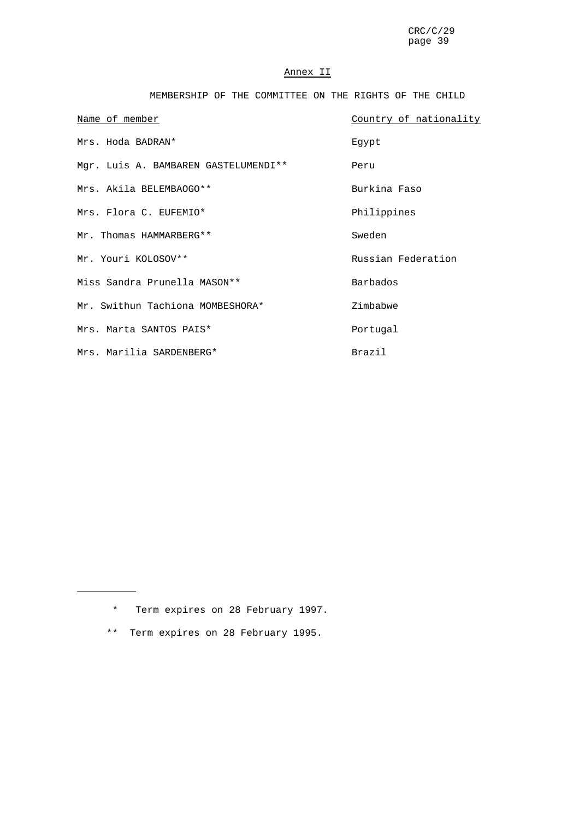### Annex II

MEMBERSHIP OF THE COMMITTEE ON THE RIGHTS OF THE CHILD

| Name of member                       | Country of nationality |
|--------------------------------------|------------------------|
| Mrs. Hoda BADRAN*                    | Eqypt                  |
| Mgr. Luis A. BAMBAREN GASTELUMENDI** | Peru                   |
| Mrs. Akila BELEMBAOGO**              | Burkina Faso           |
| Mrs. Flora C. EUFEMIO*               | Philippines            |
| Mr. Thomas HAMMARBERG**              | Sweden                 |
| Mr. Youri KOLOSOV**                  | Russian Federation     |
| Miss Sandra Prunella MASON **        | Barbados               |
| Mr. Swithun Tachiona MOMBESHORA*     | Zimbabwe               |
| Mrs. Marta SANTOS PAIS*              | Portugal               |
| Mrs. Marilia SARDENBERG*             | Brazil                 |

\* Term expires on 28 February 1997.

\*\* Term expires on 28 February 1995.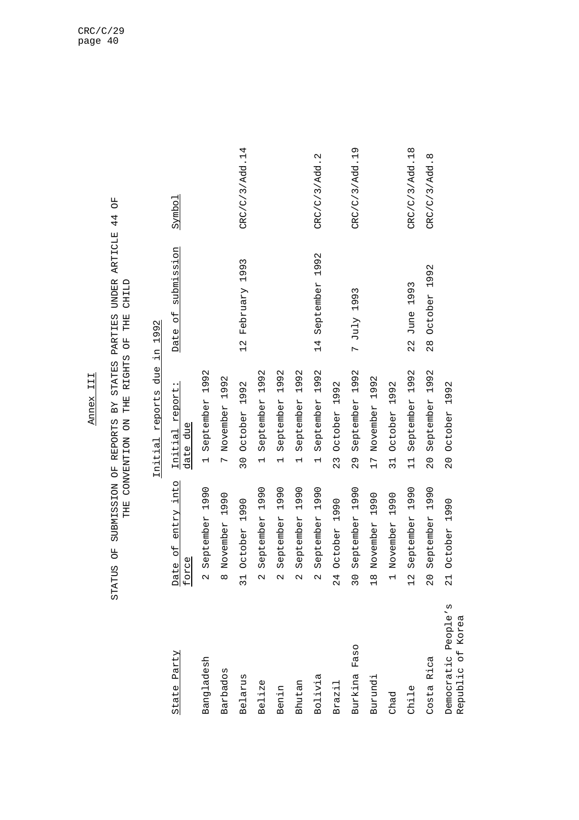### Annex III Annex III

# STATUS OF SUBMISSION OF REPORTS BY STATES PARTIES UNDER ARTICLE 44 OF<br>THE CONVENTION ON THE RIGHTS OF THE CHILD STATUS OF SUBMISSION OF REPORTS BY STATES PARTIES UNDER ARTICLE 44 OF THE CONVENTION ON THE RIGHTS OF THE CHILD

### Initial reports due in 1992 Initial reports due in 1992

| State Party                              | Date of entry into<br>force                   | Initial report:<br>due<br>date                | Date of submission            | Symbol         |
|------------------------------------------|-----------------------------------------------|-----------------------------------------------|-------------------------------|----------------|
| Bangladesh                               | September 1990                                | 1 September 1992                              |                               |                |
| Barbados                                 | November 1990                                 | 7 November 1992                               |                               |                |
| Belarus                                  | October 1990<br>31                            | 30 October 1992                               | 12 February 1993              | CRC/C/3/Add.14 |
| Belize                                   | September 1990                                | September 1992<br>$\overline{a}$              |                               |                |
| Benin                                    | 1990<br>September                             | 1992<br>September<br>$\overline{\phantom{0}}$ |                               |                |
| Bhutan                                   | 1990<br>September<br>$\overline{\mathcal{C}}$ | 1992<br>September<br>$\overline{\phantom{0}}$ |                               |                |
| Bolivia                                  | September 1990                                | September 1992<br>$\overline{a}$              | 14 September 1992             | CRC/C/3/Add.2  |
| Brazil                                   | October 1990<br>24                            | October 1992<br>23                            |                               |                |
| Faso<br>Burkina                          | 1990<br>September<br>$\overline{3}0$          | 1992<br>September<br>29                       | 7 July 1993                   | CRC/C/3/Add.19 |
| Burundi                                  | November 1990<br>$\frac{8}{1}$                | 17 November 1992                              |                               |                |
| Chad                                     | November 1990                                 | October 1992<br>$\overline{31}$               |                               |                |
| Childe                                   | 1990<br>September<br>$\frac{2}{1}$            | 1992<br>September<br>$\frac{1}{1}$            | 1993<br>June<br>$\frac{2}{3}$ | CRC/C/3/Add.18 |
| Costa Rica                               | 1990<br>September<br>$\overline{0}$           | 1992<br>September<br>$\overline{0}$           | October 1992<br>$\frac{8}{2}$ | CRC/C/3/Add.8  |
| Democratic People's<br>Republic of Korea | October 1990<br>$\overline{c}$                | 20 October 1992                               |                               |                |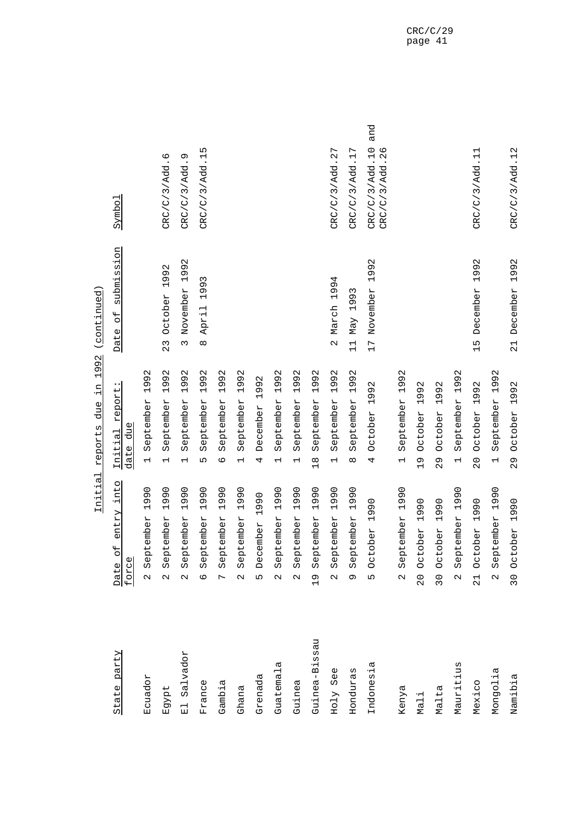|                           | TITTCTO                                       | reports due in 1996 (continued,               |                                           |                                         |
|---------------------------|-----------------------------------------------|-----------------------------------------------|-------------------------------------------|-----------------------------------------|
| State party               | of entry into<br>force<br>Date                | report:<br>date due<br>Initial                | submission<br>$\overline{d}$<br>Date      | Symbol                                  |
| Ecuador                   | 1990<br>September<br>$\overline{\mathcal{C}}$ | 1992<br>September<br>$\overline{\phantom{0}}$ |                                           |                                         |
| Egypt                     | 1990<br>September<br>$\mathbf{\Omega}$        | 1992<br>September<br>$\overline{\phantom{0}}$ | 1992<br>October<br>$\frac{3}{2}$          | CRC/C/3/Add.6                           |
| Salvador<br>$\frac{1}{2}$ | 1990<br>September<br>$\mathbf{\Omega}$        | 1992<br>September<br>$\overline{\phantom{0}}$ | 1992<br>November<br>$\infty$              | Ō<br>CRC/C/3/Add.                       |
| France                    | 1990<br>September<br>$\circ$                  | 1992<br>September<br>Б                        | 1993<br>April<br>${}^{\circ}$             | CRC/C/3/Add.15                          |
| Gambia                    | 1990<br>September<br>$\overline{C}$           | 1992<br>September<br>$\circ$                  |                                           |                                         |
| Ghana                     | 1990<br>September<br>$\mathbf{\Omega}$        | 1992<br>September<br>$\overline{\phantom{0}}$ |                                           |                                         |
| Grenada                   | 1990<br>December<br>LŊ                        | $\mathbf{\Omega}$<br>199<br>December<br>4     |                                           |                                         |
| Guatemala                 | 1990<br>September<br>$\mathbf{\Omega}$        | 1992<br>September<br>$\overline{\phantom{0}}$ |                                           |                                         |
| Guinea                    | 1990<br>September<br>$\mathbf{\Omega}$        | 1992<br>September<br>$\overline{\phantom{0}}$ |                                           |                                         |
| Guinea-Bissau             | 1990<br>September<br>$\frac{1}{2}$            | 1992<br>September<br>$\frac{8}{1}$            |                                           |                                         |
| Holy See                  | 1990<br>September<br>$\mathbf{\Omega}$        | 1992<br>September<br>$\overline{\phantom{0}}$ | 1994<br>March<br>$\overline{\mathcal{C}}$ | CRC/C/3/Add. 27                         |
| Honduras                  | 1990<br>September<br>Ō                        | 1992<br>September<br>$\infty$                 | 1993<br>Max<br>$\overline{11}$            | CRC/C/3/Add.17                          |
| Indonesia                 | October 1990<br>L                             | October 1992<br>4                             | 1992<br>17 November                       | and<br>CRC/C/3/Add.10<br>CRC/C/3/Add.26 |
| Kenya                     | 1990<br>September<br>$\mathbf{\Omega}$        | 1992<br>September<br>$\overline{\phantom{0}}$ |                                           |                                         |
| Mali                      | 1990<br>October<br>$\frac{0}{2}$              | 1992<br>October<br>$\frac{10}{1}$             |                                           |                                         |
| Malta                     | 1990<br>October<br>30                         | 1992<br>October<br>$\frac{9}{2}$              |                                           |                                         |
| Mauritius                 | 1990<br>September<br>$\mathcal{L}$            | 1992<br>September<br>$\overline{\phantom{0}}$ |                                           |                                         |
| Mexico                    | 1990<br>October<br>$\frac{1}{2}$              | 1992<br>October<br>$\overline{0}$             | 1992<br>December<br>$\frac{15}{1}$        | CRC/C/3/Add.11                          |
| Mongolia                  | September 1990<br>$\mathbf{\Omega}$           | September 1992<br>$\overline{\phantom{0}}$    |                                           |                                         |
| Namibia                   | 30 October 1990                               | October 1992<br>29                            | December 1992<br>$\overline{2}$           | CRC/C/3/Add.12                          |

 $199$   $(701 + 121)$ Initial reports due in 1992 (continued) ءِ<br>-- $\mathsf{d}$ र्न  $\overline{t}$ Tnitial report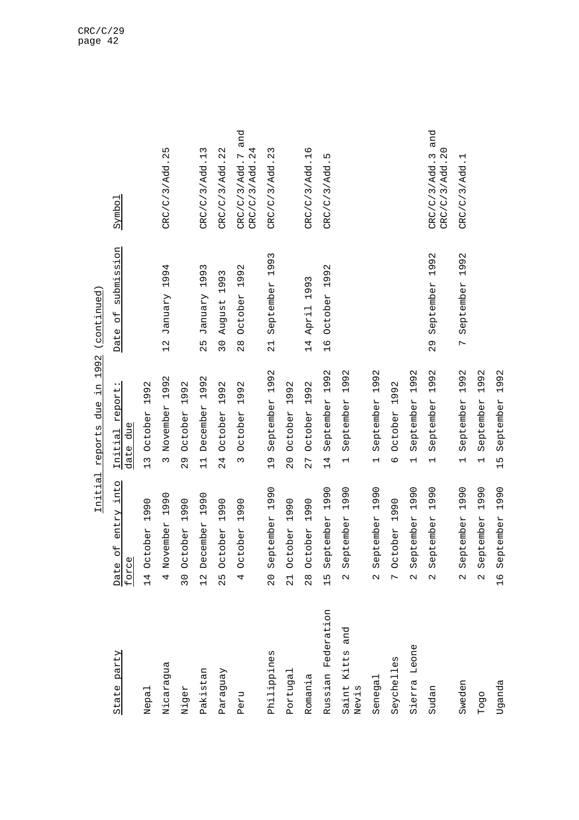| j<br>ŗ<br>ζ<br>j<br>.<br>آ<br>;<br>1<br>$\vdash$<br>;<br>;<br>) )<br>.<br>ג<br>ג |  |
|----------------------------------------------------------------------------------|--|
| ς<br>J<br>a<br>I<br>ī                                                            |  |
| $\frac{1}{4}$<br>ኗ                                                               |  |
| ane<br>ı                                                                         |  |
| $\Omega$<br><b>TEDOLL</b>                                                        |  |
| $\frac{1}{6}$<br>)<br> <br> <br>Ç<br>ŀ                                           |  |

| State party                 | entry into<br>$\overline{a}$<br>force<br>Date      | Initial report:<br>date due                                     | submission<br>$\overline{\mathbf{C}}$<br>Date   | Symbol                                 |
|-----------------------------|----------------------------------------------------|-----------------------------------------------------------------|-------------------------------------------------|----------------------------------------|
| Nepal                       | 1990<br>detober<br>$\overline{14}$                 | 992<br>$\overline{\phantom{0}}$<br>October<br>$\frac{1}{2}$     |                                                 |                                        |
| Nicaragua                   | 1990<br>vovember<br>4                              | 1992<br>November<br>$\infty$                                    | January 1994<br>$\frac{2}{1}$                   | CRC/C/3/Add.25                         |
| Niger                       | October 1990<br>30                                 | October 1992<br>29                                              |                                                 |                                        |
| Pakistan                    | 1990<br>becember<br>$\frac{2}{1}$                  | 1992<br>December<br>$\frac{1}{1}$                               | 1993<br>January<br>25                           | CRC/C/3/Add.13                         |
| Paraguay                    | 1990<br>detober<br>١<br>$\mathcal{L}$              | 992<br>$\overline{ }$<br>October<br>24                          | 993<br>$\overline{\phantom{0}}$<br>August<br>30 | CRC/C/3/Add. 22                        |
| Peru                        | October 1990<br>4                                  | October 1992<br>$\infty$                                        | October 1992<br>$\frac{8}{2}$                   | CRC/C/3/Add.7 and<br>CRC/C/3/Add. 24   |
| Philippines                 | September 1990<br>$\overline{0}$                   | September 1992<br>$\frac{1}{2}$                                 | September 1993<br>$\frac{1}{2}$                 | CRC/C/3/Add. 23                        |
| Portugal                    | 1990<br>detober<br>$\overline{2}$                  | 1992<br>October<br>$\overline{0}$                               |                                                 |                                        |
| Romania                     | 1990<br>detober<br>$\frac{8}{2}$                   | 1992<br>October<br>27                                           | 1993<br>April<br>14                             | CRC/C/3/Add.16                         |
| Russian Federation          | 990<br>$\overline{\phantom{0}}$<br>September<br>۱ŋ | 992<br>$\overline{\phantom{0}}$<br>September<br>$\overline{14}$ | 1992<br>October<br>$\frac{9}{1}$                | CRC/C/3/Add.5                          |
| and<br>Saint Kitts<br>Nevis | 1990<br>September<br>$\mathcal{C}$                 | 1992<br>September<br>$\overline{\phantom{0}}$                   |                                                 |                                        |
| Senegal                     | September 1990<br>$\mathcal{C}$                    | September 1992<br>$\overline{\phantom{0}}$                      |                                                 |                                        |
| Seychelles                  | October 1990<br>L                                  | October 1992<br>$\circ$                                         |                                                 |                                        |
| Sierra Leone                | 1990<br>September<br>$\mathbf{\Omega}$             | 1992<br>September<br>$\overline{\phantom{0}}$                   |                                                 |                                        |
| Sudan                       | 1990<br>September<br>$\mathcal{C}$                 | 1992<br>September<br>$\overline{\phantom{0}}$                   | 1992<br>September<br>29                         | and<br>CRC/C/3/Add.20<br>CRC/C/3/Add.3 |
| Sweden                      | 1990<br>September<br>$\mathbf{\Omega}$             | 1992<br>September<br>$\overline{\phantom{0}}$                   | 1992<br>September<br>$\overline{C}$             | CRC/C/3/Add.1                          |
| Togo                        | 1990<br>September<br>$\mathcal{L}$                 | 1992<br>September<br>$\overline{\phantom{0}}$                   |                                                 |                                        |
| Uganda                      | 1990<br>September<br>$\frac{6}{1}$                 | 1992<br>September<br>$\frac{15}{1}$                             |                                                 |                                        |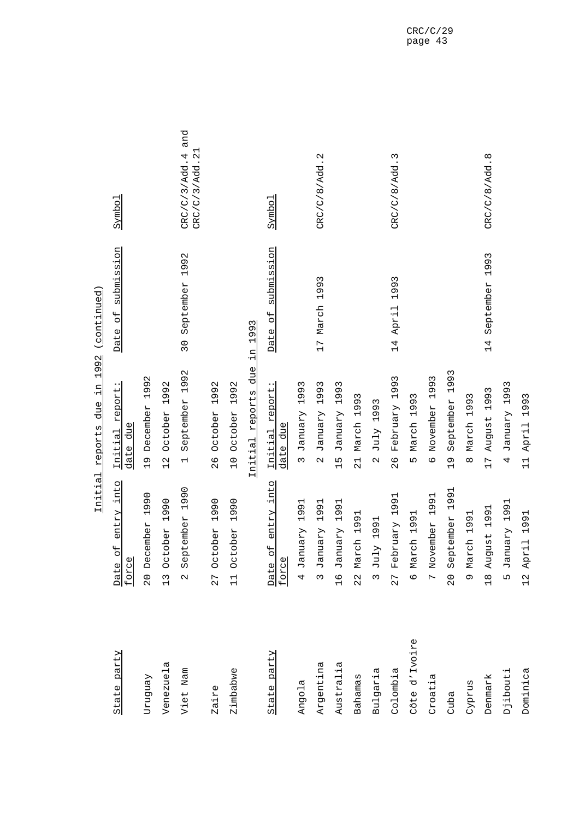|               | ᆂᅹᆚᆚᅺ                                         | コンツム<br>$\frac{1}{1}$<br>リコフ<br>イロプロイワイ       | <b>ANTITITING</b>                             |                                        |
|---------------|-----------------------------------------------|-----------------------------------------------|-----------------------------------------------|----------------------------------------|
| State party   | of entry into<br>force<br>Date                | report<br>date due<br>Initial                 | submission<br>$\overline{\mathsf{d}}$<br>Date | Symbol                                 |
| Ven6nzΩ       | 20 December 1990                              | 1992<br>December<br>$\frac{6}{1}$             |                                               |                                        |
| Venezuela     | 1990<br>13 October                            | 1992<br>October<br>12                         |                                               |                                        |
| Viet Nam      | 1990<br>September<br>$\overline{\mathcal{C}}$ | 1992<br>September<br>$\overline{\phantom{0}}$ | 1992<br>September<br>30                       | and<br>CRC/C/3/Add.21<br>CRC/C/3/Add.4 |
| Zaire         | 27 October 1990                               | 1992<br>October<br>26                         |                                               |                                        |
| Zimbabwe      | 1990<br>11 October                            | 1992<br>October<br>$\overline{C}$             |                                               |                                        |
|               |                                               | Initial reports due                           | 1993<br>цİ.                                   |                                        |
| State party   | Date of entry into<br>force                   | report:<br>date due<br>Initial                | submission<br>Date of                         | Symbo <sub>1</sub>                     |
| Angola        | 1991<br>4 January                             | 1993<br>January<br>$\infty$                   |                                               |                                        |
| Argentina     | 1991<br>3 January                             | 1993<br>January<br>$\mathbf{\Omega}$          | 17 March 1993                                 | CRC/C/8/Add.2                          |
| Australia     | 1991<br>16 January                            | 1993<br>January<br>15                         |                                               |                                        |
| Bahamas       | 22 March 1991                                 | March 1993<br>$\overline{21}$                 |                                               |                                        |
| Bulgaria      | July 1991<br>$\infty$                         | July 1993<br>$\sim$                           |                                               |                                        |
| Colombia      | 1991<br>February<br>27                        | 1993<br>February<br>26                        | 1993<br>April<br>14                           | CRC/C/8/Add.3                          |
| Côte d'Ivoire | 6 March 1991                                  | March 1993<br>Ln                              |                                               |                                        |
| Croatia       | 7 November 1991                               | 1993<br>November<br>$\circ$                   |                                               |                                        |
| Cuba          | 1991<br>September<br>$\overline{0}$           | 1993<br>September<br>$\frac{1}{2}$            |                                               |                                        |
| Cyprus        | 9 March 1991                                  | March 1993<br>$\infty$                        |                                               |                                        |
| Denmark       | 1991<br>18 August                             | 1993<br>August<br>$\overline{17}$             | 1993<br>September<br>14                       | CRC/C/8/Add.8                          |
| Djibouti      | 1991<br>5 January                             | 1993<br>January<br>4                          |                                               |                                        |
| Dominica      | 12 April 1991                                 | 1993<br>April<br>$\frac{1}{1}$                |                                               |                                        |

 $in 1992$  (continued) Initial reports due in 1992 (continued) ם<br>היה Initial reports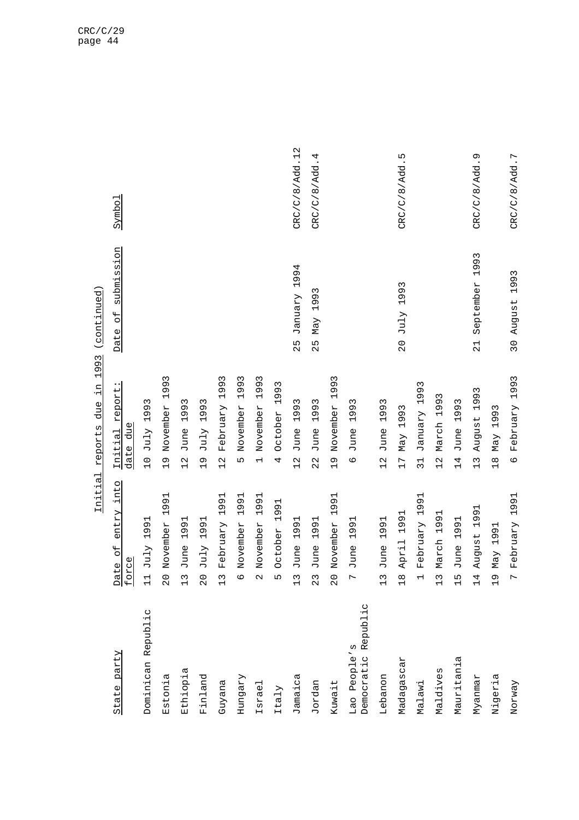| State party                            | entry into<br>Date of<br>force                                                      | Initial report:<br>due<br>date                                   | submission<br>Date of                | Symbol         |
|----------------------------------------|-------------------------------------------------------------------------------------|------------------------------------------------------------------|--------------------------------------|----------------|
| Dominican Republic                     | 1991<br>July<br>$\overline{11}$                                                     | Σ<br>199<br>July<br>$\overline{C}$                               |                                      |                |
| Estonia                                | 1991<br>November<br>$\overline{c}$                                                  | 1993<br>November<br>$\frac{0}{1}$                                |                                      |                |
| Ethiopia                               | 1991<br>June<br>$\frac{1}{2}$                                                       | 1993<br>June<br>$\frac{2}{1}$                                    |                                      |                |
| Finland                                | 1991<br>July<br>20                                                                  | 3<br>199<br>July<br>$\frac{9}{1}$                                |                                      |                |
| Guyana                                 | 991<br>$\overline{\phantom{0}}$<br>February<br>$\frac{2}{1}$                        | 3<br>99<br>$\overline{\phantom{0}}$<br>February<br>$\frac{2}{1}$ |                                      |                |
| Hungary                                | 1991<br>November<br>Φ                                                               | 1993<br>November<br>L                                            |                                      |                |
| Israel                                 | 1991<br>November                                                                    | 1993<br>November<br>$\overline{a}$                               |                                      |                |
| Italy                                  | 1991<br>October                                                                     | 93<br>$\frac{9}{1}$<br>October<br>4                              |                                      |                |
| Jamaica                                | $\overline{\phantom{0}}$<br>99<br>$\overline{\phantom{0}}$<br>June<br>$\frac{2}{1}$ | 3<br>199<br>June<br>$\frac{2}{1}$                                | 1994<br>VrenuaL<br>25                | CRC/C/8/Add.12 |
| Jordan                                 | 1991<br>June<br>23                                                                  | 3<br>199<br>June<br>22                                           | 3<br>199<br>Max<br>52                | CRC/C/8/Add.4  |
| Kuwait                                 | 1991<br>November<br>$\frac{0}{2}$                                                   | 1993<br>November<br>$\frac{1}{2}$                                |                                      |                |
| Republic<br>Lao People's<br>Democratic | 1991<br>June                                                                        | ς<br>1993<br>June<br>$\circ$                                     |                                      |                |
| Lebanon                                | 1991<br>June<br>$\frac{1}{2}$                                                       | 1993<br>June<br>$\frac{1}{2}$                                    |                                      |                |
| Madagascar                             | 1991<br>April<br>$\frac{8}{10}$                                                     | 1993<br>Max<br>$\overline{1}$                                    | 1993<br>July<br>$\overline{0}$       | CRC/C/8/Add.5  |
| Malawi                                 | 1991<br>February                                                                    | 1993<br>January<br>$\overline{31}$                               |                                      |                |
| Maldives                               | Н<br>199<br>March<br>$\frac{2}{1}$                                                  | 3<br>1993<br>March<br>$\frac{2}{1}$                              |                                      |                |
| Mauritania                             | 1991<br>June<br>5L<br>T                                                             | 1993<br>June<br>14                                               |                                      |                |
| Myanmar                                | 1991<br>August<br>$\overline{14}$                                                   | 3<br>199<br>August<br>$\frac{1}{3}$                              | 1993<br>September<br>$\overline{21}$ | CRC/C/8/Add.9  |
| Nigeria                                | ⊣<br>199<br>Max<br>$\frac{9}{1}$                                                    | Σ<br>199<br>Max<br>$\frac{8}{10}$                                |                                      |                |
| Norway                                 | 1991<br>February                                                                    | 1993<br>February<br>$\circ$                                      | 1993<br>August<br>30                 | CRC/C/8/Add.7  |

Initial reports due in 1993 (continued) Initial reports due in 1993 (continued)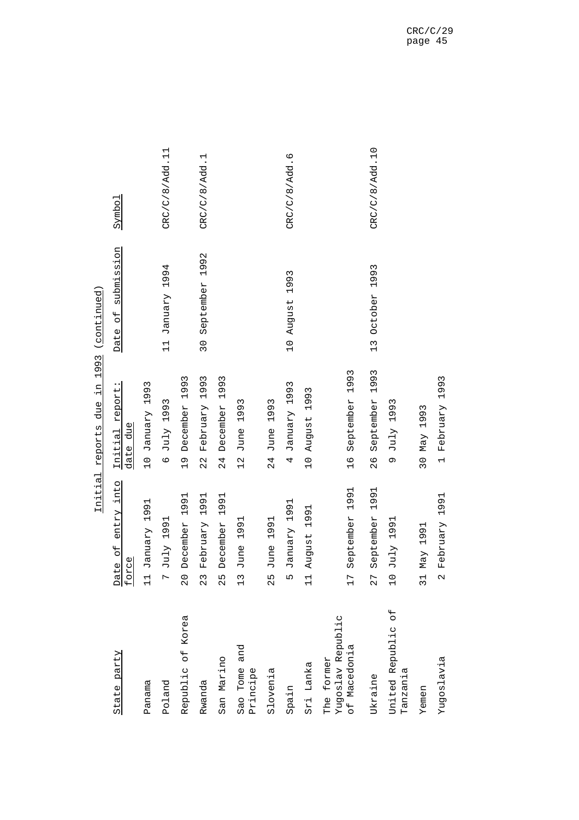|                                                 | Initial                              | 1993<br>¤Ė.<br>due<br>reports      | (continued)                               |                |
|-------------------------------------------------|--------------------------------------|------------------------------------|-------------------------------------------|----------------|
| State party                                     | entry into<br>te of<br>Date<br>force | report:<br>due<br>Initial<br>date  | submission<br>$\overline{C}$<br>Date      | Symbol         |
| Panama                                          | 1991<br>January<br>븝                 | 1993<br>January<br>$\frac{1}{2}$   |                                           |                |
| Poland                                          | 1991<br>July<br>L                    | 1993<br>July<br>$\circ$            | 1994<br><b>January</b><br>$\overline{11}$ | CRC/C/8/Add.11 |
| Republic of Korea                               | 1991<br>December<br>$\frac{0}{2}$    | 1993<br>December<br>$\frac{0}{1}$  |                                           |                |
| Rwanda                                          | 1991<br>February<br>23               | 1993<br>February<br>22             | 1992<br>September<br>$\frac{1}{2}$        | CRC/C/8/Add.1  |
| San Marino                                      | 1991<br>December<br>25               | 1993<br>December<br>24             |                                           |                |
| and<br>Sao Tome<br>Principe                     | 1991<br>June<br>$\frac{1}{2}$        | 1993<br>June<br>$\frac{2}{1}$      |                                           |                |
| Slovenia                                        | 1991<br>June<br>25                   | 1993<br>June<br>24                 |                                           |                |
| Spain                                           | 1991<br>January<br>m                 | 1993<br>January<br>4               | 1993<br>August<br>$\overline{C}$          | CRC/C/8/Add.6  |
| Sri Lanka                                       | 1991<br>August<br>$\Xi$              | 1993<br>August<br>$\frac{1}{2}$    |                                           |                |
| Yugoslav Republic<br>of Macedonia<br>The former | 1991<br>September<br>17              | 1993<br>September<br>16            |                                           |                |
| Ukraine                                         | 1991<br>September<br>27              | 1993<br>September<br>$\frac{6}{2}$ | 1993<br>October<br>$\frac{13}{1}$         | CRC/C/8/Add.10 |
| $\overline{a}$<br>United Republic<br>Tanzania   | July 1991<br>$\frac{0}{1}$           | 1993<br>July<br>Ō                  |                                           |                |
| Yemen                                           | 1991<br>Max<br>51                    | 1993<br>Max<br>$\overline{30}$     |                                           |                |
| Yugoslavia                                      | 1991<br>February<br>N                | 1993<br>February<br>$\overline{a}$ |                                           |                |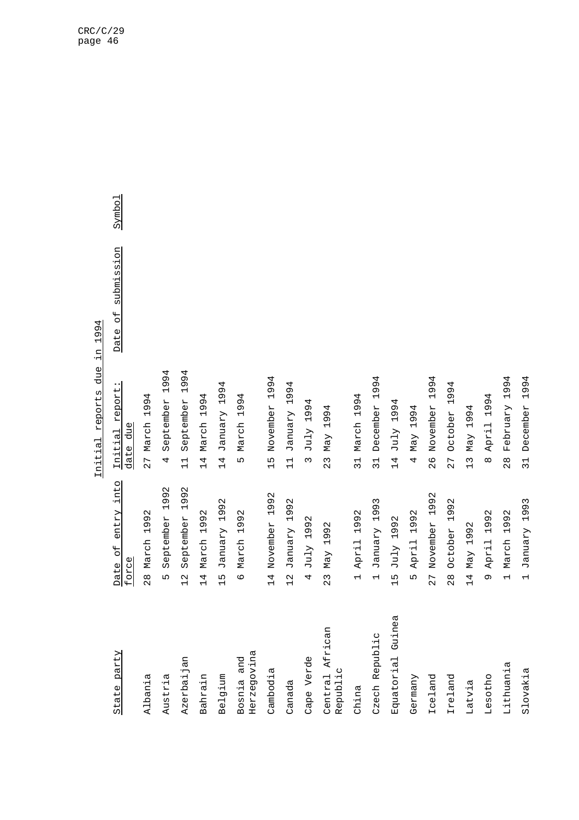## Initial reports due in 1994 Initial reports due in 1994

| State party                 | entry into<br>$\overline{5}$<br>force<br>Date                          | report<br>due<br>Initial<br>date                      | submission<br>$\overline{5}$<br>Date | Symbol |
|-----------------------------|------------------------------------------------------------------------|-------------------------------------------------------|--------------------------------------|--------|
| Albania                     | 1992<br>March<br>$\frac{8}{2}$                                         | 1994<br>27 March                                      |                                      |        |
| Austria                     | $\mathbf{\Omega}$<br>99<br>$\overline{\phantom{0}}$<br>September<br>LN | 4<br>99<br>$\overline{\phantom{0}}$<br>September<br>4 |                                      |        |
| Azerbaijan                  | 1992<br>September<br>$\frac{2}{1}$                                     | 1994<br>September<br>$\frac{1}{1}$                    |                                      |        |
| Bahrain                     | 1992<br>March<br>$\overline{14}$                                       | 4<br>199.<br>March<br>$\overline{14}$                 |                                      |        |
| Belgium                     | 1992<br>January<br>$\frac{15}{1}$                                      | 1994<br>January<br>14                                 |                                      |        |
| Herzegovina<br>Bosnia and   | 992<br>$\overline{\phantom{0}}$<br>March<br>$\circ$                    | 1994<br>March<br>ഥ                                    |                                      |        |
| Cambodia                    | 1992<br>November<br>$\overline{4}$                                     | 1994<br>November<br>$\frac{5}{1}$                     |                                      |        |
| Canada                      | 1992<br>January<br>$\frac{2}{1}$                                       | 1994<br>January<br>$\frac{1}{1}$                      |                                      |        |
| Cape Verde                  | 92<br>Ō<br>$\overline{ }$<br>July<br>4                                 | 4<br>Ō<br>$\frac{9}{1}$<br>July<br>$\infty$           |                                      |        |
| Central African<br>Republic | 1992<br>May<br>23                                                      | 1994<br>Max<br>23                                     |                                      |        |
| China                       | 1992<br>April<br>$\overline{\phantom{0}}$                              | 1994<br>March<br>$\overline{31}$                      |                                      |        |
| Czech Republic              | 1993<br><b>January</b><br>$\overline{\phantom{0}}$                     | 1994<br>December<br>$\overline{31}$                   |                                      |        |
| ea<br>Equatorial Guin       | 1992<br>July<br>$\frac{15}{1}$                                         | 4<br>199.<br>July<br>14                               |                                      |        |
| Germany                     | 1992<br>April<br>Ь٦                                                    | 1994<br>May<br>4                                      |                                      |        |
| Iceland                     | 1992<br>November<br>27                                                 | 4<br>199.<br>November<br>86                           |                                      |        |
| Ireland                     | 1992<br>October<br>$\frac{8}{2}$                                       | 1994<br>October<br>27                                 |                                      |        |
| Latvia                      | 1992<br>Max<br>14                                                      | 1994<br>Max<br>13                                     |                                      |        |
| Lesotho                     | 1992<br>April<br>Ō                                                     | 1994<br>April<br>$\infty$                             |                                      |        |
| Lithuania                   | 1992<br>March<br>$\overline{a}$                                        | 1994<br>February<br>$\frac{8}{2}$                     |                                      |        |
| Slovakia                    | January 1993<br>$\overline{a}$                                         | 1994<br>December<br>$\overline{31}$                   |                                      |        |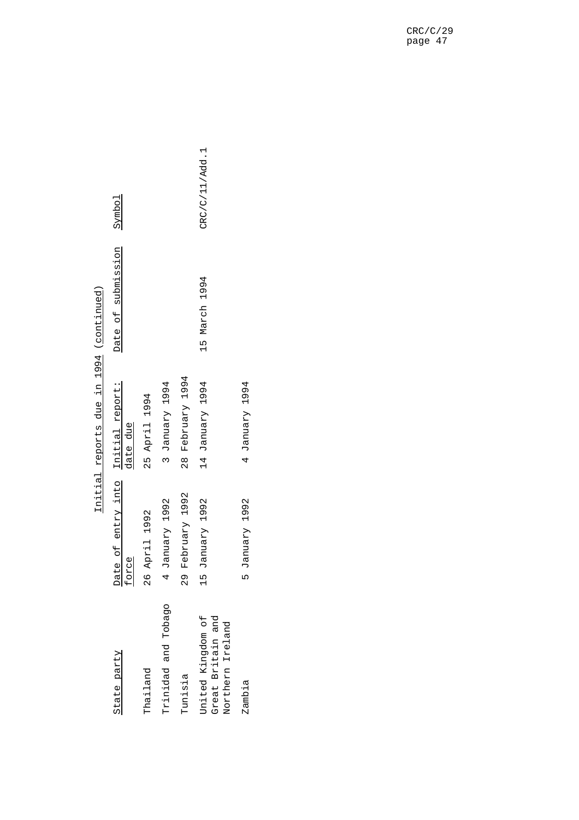| うりちーーー<br><b>תםונת</b><br>CONU.                       |
|-------------------------------------------------------|
| σ<br>σ<br>I<br>٢                                      |
| H                                                     |
| due                                                   |
| reports                                               |
| $\frac{1}{6}$<br>I<br> <br> <br> <br> <br> <br>ŗ<br>Î |

| State party                                                | Date of entry into<br>force | Initial report:<br>date due | Date of submission | Symbol         |
|------------------------------------------------------------|-----------------------------|-----------------------------|--------------------|----------------|
| Thailand                                                   | 26 April 1992               | 25 April 1994               |                    |                |
| Trinidad and Tobago                                        | 4 January 1992              | 3 January 1994              |                    |                |
| Tunisia                                                    | 29 February 1992            | 28 February 1994            |                    |                |
| United Kingdom of<br>Great Britain and<br>Northern Ireland | 15 January 1992             | 14 January 1994             | 15 March 1994      | CRC/C/11/Add.1 |
| Zambia                                                     | 5 January 1992              | 4 January 1994              |                    |                |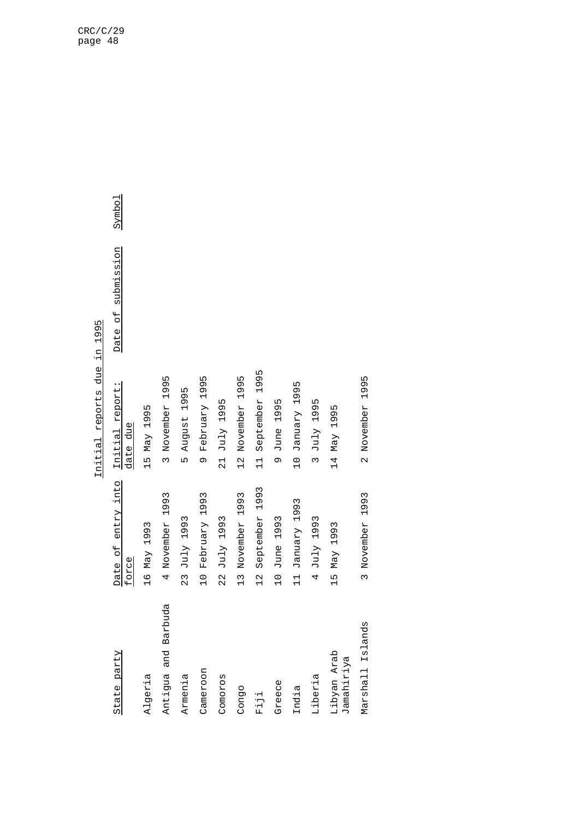## Initial reports due in 1995 Initial reports due in 1995

| State party               | Date of entry into<br>force     | Initial report:<br>date due        | Date of submission | Symbo <sub>1</sub> |
|---------------------------|---------------------------------|------------------------------------|--------------------|--------------------|
| Algeria                   | 16 May 1993                     | 15 May 1995                        |                    |                    |
| buda<br>Antigua and Bar   | 4 November 1993                 | 3 November 1995                    |                    |                    |
| Armenia                   | 23 July 1993                    | 5 August 1995                      |                    |                    |
| Cameroon                  | February 1993<br>$\frac{1}{2}$  | February 1995<br>Ō                 |                    |                    |
| Comoros                   | July 1993<br>22                 | 21 July 1995                       |                    |                    |
| Congo                     | November 1993<br>$\frac{3}{1}$  | November 1995<br>$\frac{2}{1}$     |                    |                    |
| $F\dot{1}\dot{1}\dot{1}$  | September 1993<br>$\frac{2}{1}$ | 1995<br>September<br>$\frac{1}{1}$ |                    |                    |
| Greece                    | June 1993<br>$\frac{1}{2}$      | June 1995<br>o                     |                    |                    |
| India                     | January 1993<br>$\frac{1}{1}$   | 10 January 1995                    |                    |                    |
| Liberia                   | July 1993<br>4                  | July 1995<br>$\tilde{5}$           |                    |                    |
| Libyan Arab<br>Jamahiriya | 15 May 1993                     | 14 May 1995                        |                    |                    |
| Marshall Islands          | 3 November 1993                 | 2 November 1995                    |                    |                    |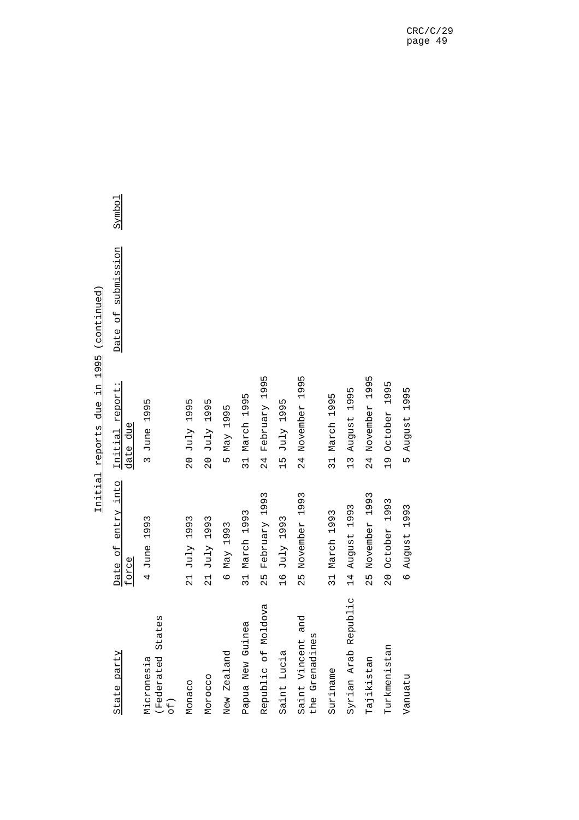|                                              |                                | 1995 (continued)<br>Initial reports due in |                              |                    |
|----------------------------------------------|--------------------------------|--------------------------------------------|------------------------------|--------------------|
| State party                                  | entry into<br>Date of<br>force | Date<br>Initial report:<br>date due        | submission<br>$\overline{d}$ | Symbo <sub>1</sub> |
| States<br>(Federated<br>Micronesia<br>$of$ ) | 4 June 1993                    | 3 June 1995                                |                              |                    |
| Monaco                                       | 1993<br>$21$ July              | 20 July 1995                               |                              |                    |
| Morocco                                      | July 1993<br>$\frac{1}{2}$     | July 1995<br>$\frac{0}{2}$                 |                              |                    |
| New Zealand                                  | May 1993<br>$\circ$            | May 1995<br>ເດ                             |                              |                    |
| Papua New Guinea                             | March 1993<br>31               | March 1995<br>31                           |                              |                    |
| Republic of Moldova                          | February 1993<br>25            | February 1995<br>24                        |                              |                    |
| Saint Lucia                                  | 16 July 1993                   | 15 July 1995                               |                              |                    |
| and<br>the Grenadines<br>Saint Vincent       | November 1993<br>25            | 1995<br>November<br>24                     |                              |                    |
| Suriname                                     | March 1993<br>31               | March 1995<br>31                           |                              |                    |
| Syrian Arab Republic                         | 14 August 1993                 | August 1995<br>$\frac{13}{1}$              |                              |                    |
| Tajikistan                                   | November 1993<br>52            | November 1995<br>24                        |                              |                    |
| Turkmenistan                                 | October 1993<br>$\overline{0}$ | October 1995<br>$\frac{1}{2}$              |                              |                    |
| Vanuatu                                      | August 1993<br>$\circ$         | 1995<br>August<br>m                        |                              |                    |

 $1005 / 700t + 300t$ Initial reports due in 1995 (continued) ń tanitis letti

Symbol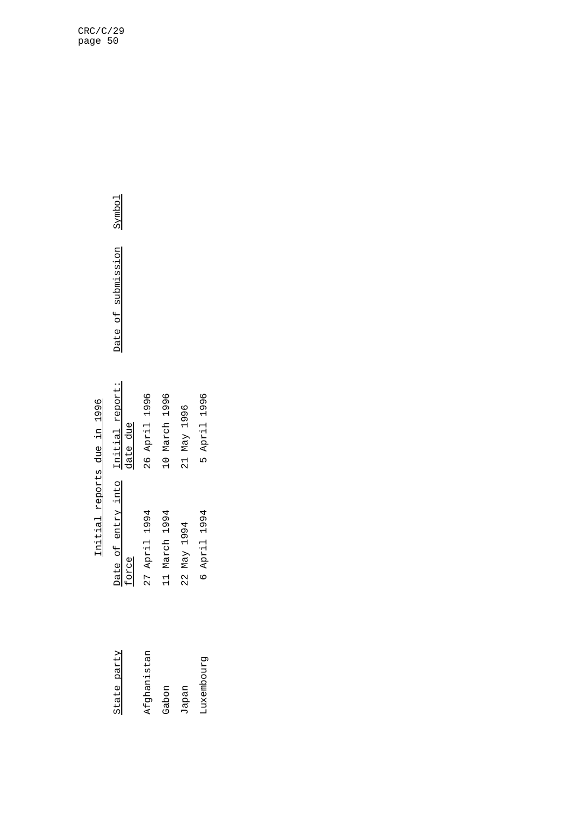## Initial reports due in 1996 Initial reports due in 1996

| State party       | Date of entry into .<br>force | Initial report:<br>date due | Date of : |
|-------------------|-------------------------------|-----------------------------|-----------|
| Afghanistan       | 27 April 1994                 | 26 April 1996               |           |
| Gabon             | 11 March 1994                 | 10 March 1996               |           |
| Japan             | 22 May 1994                   | 21 May 1996                 |           |
| <b>Luxembourg</b> | 6 April 1994                  | 5 April 1996                |           |
|                   |                               |                             |           |
|                   |                               |                             |           |

Symbol Date of submission Symbol submission